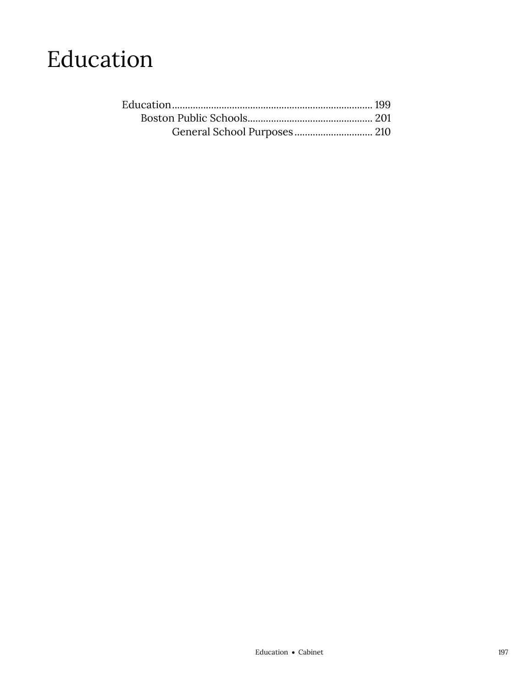### Education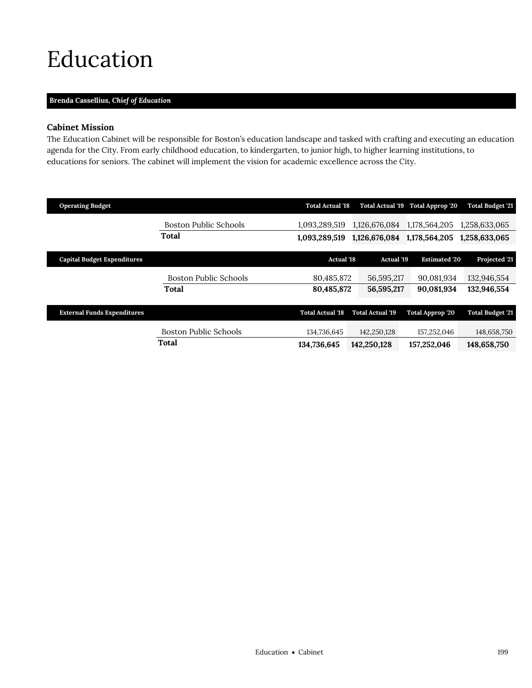## <span id="page-2-0"></span>Education

### **Brenda Cassellius,** *Chief of Education*

### **Cabinet Mission**

The Education Cabinet will be responsible for Boston's education landscape and tasked with crafting and executing an education agenda for the City. From early childhood education, to kindergarten, to junior high, to higher learning institutions, to educations for seniors. The cabinet will implement the vision for academic excellence across the City.

| <b>Total Budget '21</b> |
|-------------------------|
| 1,258,633,065           |
| 1,258,633,065           |
|                         |
| Projected '21           |
| 132,946,554             |
| 132,946,554             |
|                         |
| <b>Total Budget '21</b> |
|                         |
| 148,658,750             |
| 148,658,750             |
|                         |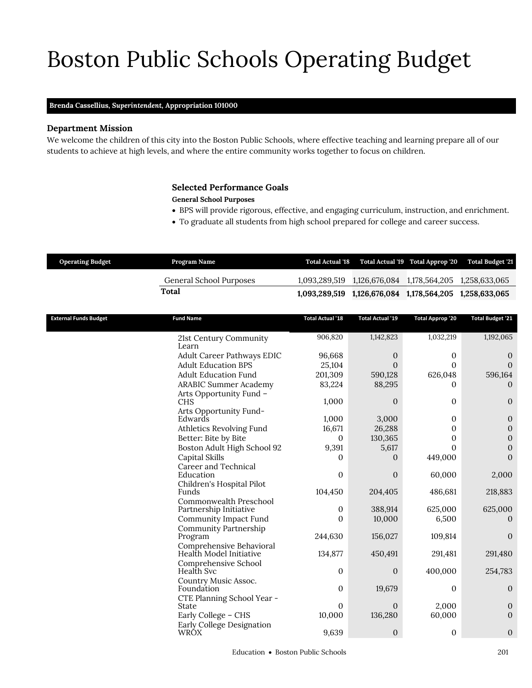# Boston Public Schools Operating Budget

### **Brenda Cassellius,** *Superintendent,* **Appropriation 101000**

### **Department Mission**

We welcome the children of this city into the Boston Public Schools, where effective teaching and learning prepare all of our students to achieve at high levels, and where the entire community works together to focus on children.

### <span id="page-4-0"></span>**Selected Performance Goals**

### **General School Purposes**

- BPS will provide rigorous, effective, and engaging curriculum, instruction, and enrichment.
- To graduate all students from high school prepared for college and career success.

| <b>Operating Budget</b> | Program Name            |                                                         | Total Actual '18 Total Actual '19 Total Approp '20 Total Budget '21 |
|-------------------------|-------------------------|---------------------------------------------------------|---------------------------------------------------------------------|
|                         | General School Purposes |                                                         |                                                                     |
|                         | Total                   | 1,093,289,519 1,126,676,084 1,178,564,205 1,258,633,065 |                                                                     |
|                         |                         |                                                         |                                                                     |

| <b>External Funds Budget</b> | <b>Fund Name</b>                      | <b>Total Actual '18</b> | <b>Total Actual '19</b> | <b>Total Approp '20</b> | <b>Total Budget '21</b> |
|------------------------------|---------------------------------------|-------------------------|-------------------------|-------------------------|-------------------------|
|                              | 21st Century Community                | 906,820                 | 1,142,823               | 1,032,219               | 1,192,065               |
|                              | Learn                                 |                         |                         |                         |                         |
|                              | Adult Career Pathways EDIC            | 96,668                  | $\mathbf{0}$            | 0                       | $\mathbf{0}$            |
|                              | <b>Adult Education BPS</b>            | 25,104                  | $\Omega$                | 0                       | $\mathbf{0}$            |
|                              | <b>Adult Education Fund</b>           | 201,309                 | 590,128                 | 626,048                 | 596,164                 |
|                              | <b>ARABIC Summer Academy</b>          | 83,224                  | 88,295                  | 0                       | $\theta$                |
|                              | Arts Opportunity Fund -<br><b>CHS</b> | 1,000                   | $\theta$                | $\overline{0}$          | $\theta$                |
|                              | Arts Opportunity Fund-                |                         |                         |                         |                         |
|                              | Edwards                               | 1,000                   | 3,000                   | $\Omega$                | $\theta$                |
|                              | Athletics Revolving Fund              | 16,671                  | 26,288                  | 0                       | $\boldsymbol{0}$        |
|                              | Better: Bite by Bite                  | $\mathbf{0}$            | 130,365                 | 0                       | $\mathbf{0}$            |
|                              | Boston Adult High School 92           | 9,391                   | 5,617                   | 0                       | $\theta$                |
|                              | Capital Skills                        | 0                       | $\Omega$                | 449,000                 | $\overline{0}$          |
|                              | Career and Technical                  |                         |                         |                         |                         |
|                              | Education                             | $\mathbf{0}$            | $\mathbf{0}$            | 60,000                  | 2,000                   |
|                              | Children's Hospital Pilot<br>Funds    | 104,450                 | 204,405                 | 486,681                 | 218,883                 |
|                              | Commonwealth Preschool                |                         |                         |                         |                         |
|                              | Partnership Initiative                | $\mathbf{0}$            | 388,914                 | 625,000                 | 625,000                 |
|                              | Community Impact Fund                 | $\mathbf{0}$            | 10,000                  | 6,500                   | $\Omega$                |
|                              | <b>Community Partnership</b>          |                         |                         |                         |                         |
|                              | Program                               | 244,630                 | 156,027                 | 109,814                 | $\theta$                |
|                              | Comprehensive Behavioral              |                         |                         |                         |                         |
|                              | Health Model Initiative               | 134,877                 | 450,491                 | 291,481                 | 291,480                 |
|                              | Comprehensive School<br>Health Svc    | $\mathbf{0}$            | $\mathbf{0}$            | 400,000                 | 254,783                 |
|                              | Country Music Assoc.                  |                         |                         |                         |                         |
|                              | Foundation                            | $\Omega$                | 19,679                  | 0                       | $\theta$                |
|                              | CTE Planning School Year -            |                         |                         |                         |                         |
|                              | State                                 | $\mathbf{0}$            | $\theta$                | 2,000                   | $\mathbf{0}$            |
|                              | Early College - CHS                   | 10,000                  | 136,280                 | 60,000                  | $\theta$                |
|                              | Early College Designation             |                         |                         |                         |                         |
|                              | WRÓX                                  | 9,639                   | $\mathbf{0}$            | 0                       | $\boldsymbol{0}$        |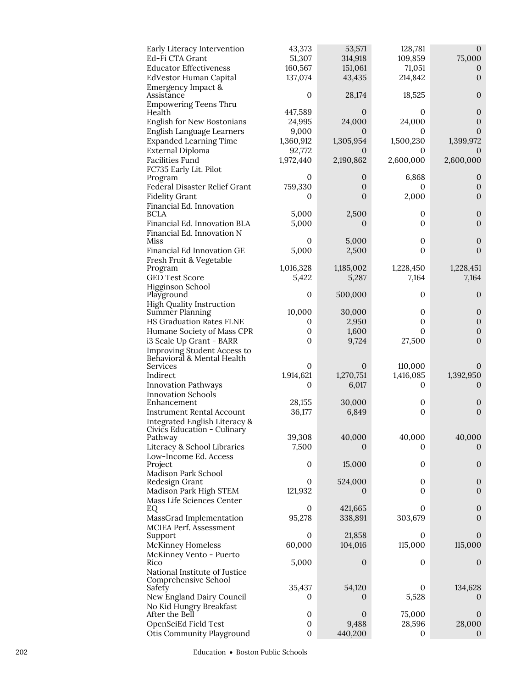| Early Literacy Intervention                               | 43,373                      | 53,571            | 128,781      | $\mathbf{0}$                 |
|-----------------------------------------------------------|-----------------------------|-------------------|--------------|------------------------------|
| Ed-Fi CTA Grant                                           | 51,307                      | 314,918           | 109,859      | 75,000                       |
| <b>Educator Effectiveness</b>                             | 160,567                     | 151,061           | 71,051       | 0                            |
| EdVestor Human Capital<br>Emergency Impact &              | 137,074                     | 43,435            | 214,842      | $\overline{0}$               |
| Assistance                                                | 0                           | 28,174            | 18,525       | $\overline{0}$               |
| <b>Empowering Teens Thru</b>                              |                             |                   | 0            | $\boldsymbol{0}$             |
| Health<br>English for New Bostonians                      | 447,589<br>24,995           | 0<br>24,000       | 24,000       | $\boldsymbol{0}$             |
| English Language Learners                                 | 9,000                       | 0                 | 0            | $\overline{0}$               |
| <b>Expanded Learning Time</b>                             | 1,360,912                   | 1,305,954         | 1,500,230    | 1,399,972                    |
| External Diploma                                          | 92,772                      | 0                 | 0            | $\theta$                     |
| <b>Facilities Fund</b>                                    | 1,972,440                   | 2,190,862         | 2,600,000    | 2,600,000                    |
| FC735 Early Lit. Pilot                                    | 0                           | 0                 | 6,868        | 0                            |
| Program<br>Federal Disaster Relief Grant                  | 759,330                     | $\mathbf{0}$      | 0            | $\mathbf{0}$                 |
| <b>Fidelity Grant</b>                                     | 0                           | 0                 | 2,000        | $\overline{0}$               |
| Financial Ed. Innovation                                  |                             |                   |              |                              |
| <b>BCLA</b>                                               | 5,000                       | 2,500             | 0            | $\boldsymbol{0}$             |
| Financial Ed. Innovation BLA                              | 5,000                       | 0                 | 0            | $\boldsymbol{0}$             |
| Financial Ed. Innovation N<br>Miss                        | 0                           | 5,000             | 0            | $\boldsymbol{0}$             |
| Financial Ed Innovation GE                                | 5,000                       | 2,500             | 0            | $\mathbf{0}$                 |
| Fresh Fruit & Vegetable                                   |                             |                   |              |                              |
| Program                                                   | 1,016,328                   | 1,185,002         | 1,228,450    | 1,228,451                    |
| <b>GED Test Score</b>                                     | 5,422                       | 5,287             | 7,164        | 7,164                        |
| Higginson School<br>Playground                            | $\boldsymbol{0}$            | 500,000           | 0            | 0                            |
| <b>High Quality Instruction</b>                           |                             |                   |              |                              |
| Summer Planning                                           | 10,000                      | 30,000            | 0            | $\boldsymbol{0}$             |
| <b>HS Graduation Rates FLNE</b>                           | 0                           | 2,950             | 0            | $\mathbf{0}$                 |
| Humane Society of Mass CPR                                | $\boldsymbol{0}$            | 1,600             | 0            | $\boldsymbol{0}$             |
| i3 Scale Up Grant - BARR                                  | $\mathbf{0}$                | 9,724             | 27,500       | $\mathbf{0}$                 |
| Improving Student Access to<br>Behavioral & Mental Health |                             |                   |              |                              |
| Services                                                  | 0                           | 0                 | 110,000      | 0                            |
| Indirect                                                  | 1,914,621                   | 1,270,751         | 1,416,085    | 1,392,950                    |
| <b>Innovation Pathways</b>                                | 0                           | 6,017             | 0            | $\theta$                     |
| <b>Innovation Schools</b><br>Enhancement                  | 28,155                      | 30,000            | 0            | $\boldsymbol{0}$             |
| <b>Instrument Rental Account</b>                          | 36,177                      | 6,849             | 0            | $\boldsymbol{0}$             |
| Integrated English Literacy &                             |                             |                   |              |                              |
| Civics Education - Culinary                               | 39,308                      |                   | 40,000       | 40,000                       |
| Pathway<br>Literacy & School Libraries                    | 7,500                       | 40,000<br>0       | 0            | $\theta$                     |
| Low-Income Ed. Access                                     |                             |                   |              |                              |
| Project                                                   | $\boldsymbol{0}$            | 15,000            | 0            | $\mathbf{0}$                 |
| Madison Park School                                       |                             |                   |              |                              |
| Redesign Grant<br>Madison Park High STEM                  | $\boldsymbol{0}$<br>121,932 | 524,000<br>0      | 0<br>0       | $\mathbf{0}$<br>$\mathbf{0}$ |
| Mass Life Sciences Center                                 |                             |                   |              |                              |
| EQ                                                        | $\boldsymbol{0}$            | 421,665           | 0            | $\boldsymbol{0}$             |
| MassGrad Implementation                                   | 95,278                      | 338,891           | 303,679      | $\boldsymbol{0}$             |
| <b>MCIEA Perf. Assessment</b>                             |                             |                   |              |                              |
| Support<br><b>McKinney Homeless</b>                       | 0<br>60,000                 | 21,858<br>104,016 | 0<br>115,000 | 0<br>115,000                 |
| McKinney Vento - Puerto                                   |                             |                   |              |                              |
| Rico                                                      | 5,000                       | $\mathbf{0}$      | 0            | $\mathbf{0}$                 |
| National Institute of Justice                             |                             |                   |              |                              |
| Comprehensive School<br>Safety                            | 35,437                      | 54,120            | 0            | 134,628                      |
| New England Dairy Council                                 | 0                           | 0                 | 5,528        | $\mathbf 0$                  |
| No Kid Hungry Breakfast                                   |                             |                   |              |                              |
| After the Bell                                            | $\boldsymbol{0}$            | $\mathbf{0}$      | 75,000       | $\mathbf{0}$                 |
| OpenSciEd Field Test                                      | $\boldsymbol{0}$            | 9,488             | 28,596       | 28,000                       |
| Otis Community Playground                                 | $\boldsymbol{0}$            | 440,200           | 0            | $\mathbf{0}$                 |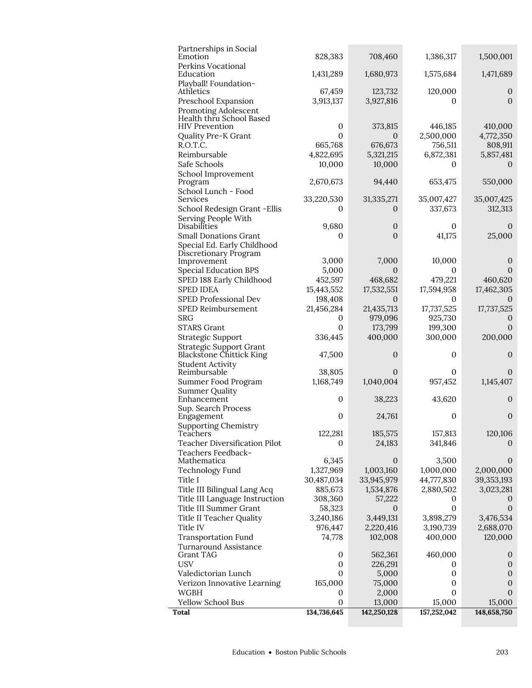| Total                                                      | 134,736,645                  | 142,250,128      | 157,252,042          | 148,658,750          |
|------------------------------------------------------------|------------------------------|------------------|----------------------|----------------------|
| Yellow School Bus                                          | 0                            | 13,000           | 15,000               | 15,000               |
| WGBH                                                       | $\boldsymbol{0}$             | 2,000            | 0                    | $\theta$             |
| Verizon Innovative Learning                                | 165,000                      | 75,000           | 0                    | $\mathbf{0}$         |
| Valedictorian Lunch                                        | $\boldsymbol{0}$             | 5,000            | 0                    | $\mathbf{0}$         |
| <b>USV</b>                                                 | $\boldsymbol{0}$             | 226,291          | 0                    | $\mathbf{0}$         |
| Grant TAG                                                  | $\mathbf 0$                  | 562,361          | 460,000              | $\theta$             |
| <b>Transportation Fund</b><br>Turnaround Assistance        | 74,778                       | 102,008          | 400,000              | 120,000              |
| Title IV                                                   | 976,447                      | 2,220,416        | 3,190,739            | 2,688,070            |
| Title II Teacher Quality                                   | 3,240,186                    | 3,449,131        | 3,898,279            | 3,476,534            |
| Title III Summer Grant                                     | 58,323                       | $\boldsymbol{0}$ | $\mathbf{0}$         | $\mathbf{0}$         |
| Title III Language Instruction                             | 308,360                      | 57,222           | $\theta$             | $\cup$               |
| Title III Bilingual Lang Acq                               | 885,673                      | 1,534,876        | 2,880,502            | 3,023,281            |
| Title I                                                    | 30,487,034                   | 33,945,979       | 44,777,830           | 39, 353, 193         |
| <b>Technology Fund</b>                                     | 1,327,969                    | 1,003,160        | 1,000,000            | 2,000,000            |
| Mathematica                                                | 6,345                        | $\theta$         | 3,500                | $\mathbf{0}$         |
| Teachers Feedback-                                         |                              |                  |                      |                      |
| Teacher Diversification Pilot                              | 0                            | 24,183           | 341,846              | $\theta$             |
| Teachers                                                   | 122,281                      | 185,575          | 157,813              | 120,106              |
| <b>Supporting Chemistry</b>                                |                              |                  |                      |                      |
| Sup. Search Process<br>Engagement                          | $\mathbf{0}$                 | 24,761           | 0                    | $\theta$             |
| Enhancement                                                | $\boldsymbol{0}$             | 38,223           | 43,620               | $\mathbf{0}$         |
| <b>Summer Quality</b>                                      |                              |                  |                      |                      |
| Summer Food Program                                        | 1,168,749                    | 1,040,004        | 957,452              | 1,145,407            |
| Reimbursable                                               | 38,805                       | $\Omega$         | 0                    | $\Omega$             |
| <b>Blackstone Chittick King</b><br><b>Student Activity</b> | 47,500                       | $\mathbf{0}$     | 0                    | $\mathbf{0}$         |
| <b>Strategic Support Grant</b>                             |                              |                  |                      |                      |
| Strategic Support                                          | 336,445                      | 400,000          | 300,000              | 200,000              |
| <b>STARS Grant</b>                                         | $\mathbf{0}$                 | 173,799          | 199,300              | $\theta$             |
| <b>SRG</b>                                                 | 0                            | 979,096          | 925,730              | 0                    |
| SPED Reimbursement                                         | 21,456,284                   | 21,435,713       | 17,737,525           | 17,737,525           |
| SPED Professional Dev                                      | 198,408                      | $\theta$         | 0                    | $\Omega$             |
| <b>SPED IDEA</b>                                           | 15,443,552                   | 17,532,551       | 17,594,958           | 17,462,305           |
| SPED 188 Early Childhood                                   | 452,597                      | 468,682          | 479,221              | 460,620              |
| <b>Special Education BPS</b>                               | 5,000                        | $\theta$         | 0                    | $\theta$             |
| Discretionary Program<br>Improvement                       | 3,000                        | 7,000            | 10,000               | $\mathbf{0}$         |
| Special Ed. Early Childhood                                |                              |                  |                      |                      |
| <b>Small Donations Grant</b>                               | 0                            | $\overline{0}$   | 41,175               | 25,000               |
| Disabilities                                               | 9,680                        | $\mathbf 0$      | 0                    | $\theta$             |
| Serving People With                                        |                              |                  |                      |                      |
| School Redesign Grant - Ellis                              | 0                            | 0                | 337,673              | 312,313              |
| School Lunch - Food<br>Services                            | 33,220,530                   | 31,335,271       | 35,007,427           | 35,007,425           |
| Program                                                    | 2,670,673                    | 94,440           | 653,475              | 550,000              |
| School Improvement                                         |                              |                  |                      |                      |
| Safe Schools                                               | 10,000                       | 10,000           | 0                    | $\Omega$             |
| Reimbursable                                               | 4,822,695                    | 5,321,215        | 6,872,381            | 5,857,481            |
| R.O.T.C.                                                   | 665,768                      | 676,673          | 756,511              | 808,911              |
| <b>HIV Prevention</b><br>Quality Pre-K Grant               | $\mathbf{0}$<br>$\mathbf{0}$ | 373,815<br>0     | 446,185<br>2,500,000 | 410,000<br>4,772,350 |
| Health thru School Based                                   |                              |                  |                      |                      |
| Promoting Adolescent                                       |                              |                  |                      |                      |
| Preschool Expansion                                        | 3,913,137                    | 3,927,816        | 0                    | $\Omega$             |
| Playball! Foundation-<br>Athletics                         | 67,459                       | 123,732          | 120,000              | $\mathbf{0}$         |
| Education                                                  | 1,431,289                    | 1,680,973        | 1,575,684            | 1,471,689            |
| Perkins Vocational                                         |                              |                  |                      |                      |
| Partnerships in Social<br>Emotion                          | 828,383                      | 708,460          | 1,386,317            | 1,500,001            |
|                                                            |                              |                  |                      |                      |

L,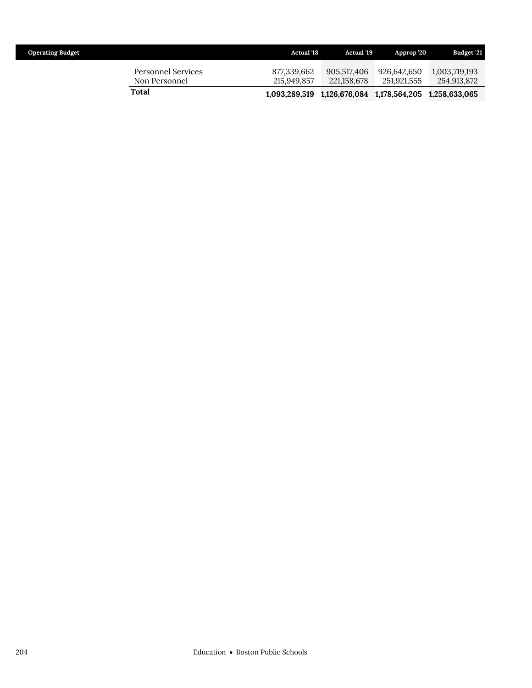| <b>Operating Budget</b>             | <b>Actual '18</b>          | <b>Actual '19</b>          | Approp 20                  | Budget '21                   |
|-------------------------------------|----------------------------|----------------------------|----------------------------|------------------------------|
| Personnel Services<br>Non Personnel | 877.339.662<br>215,949,857 | 905.517.406<br>221.158.678 | 926.642.650<br>251,921,555 | 1.003.719.193<br>254,913,872 |
| Total                               | 1,093,289,519              | 1,126,676,084              | 1,178,564,205              | 1,258,633,065                |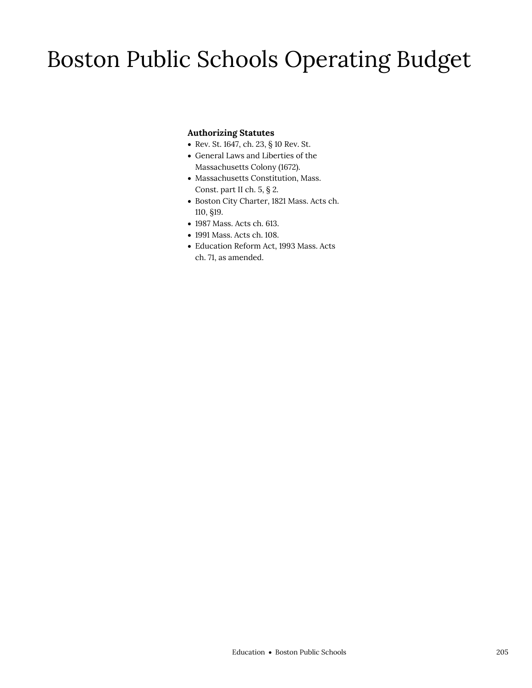## Boston Public Schools Operating Budget

### **Authorizing Statutes**

- Rev. St. 1647, ch. 23, § 10 Rev. St.
- General Laws and Liberties of the Massachusetts Colony (1672).
- Massachusetts Constitution, Mass. Const. part II ch. 5, § 2.
- Boston City Charter, 1821 Mass. Acts ch. 110, §19.
- 1987 Mass. Acts ch. 613.
- 1991 Mass. Acts ch. 108.
- Education Reform Act, 1993 Mass. Acts ch. 71, as amended.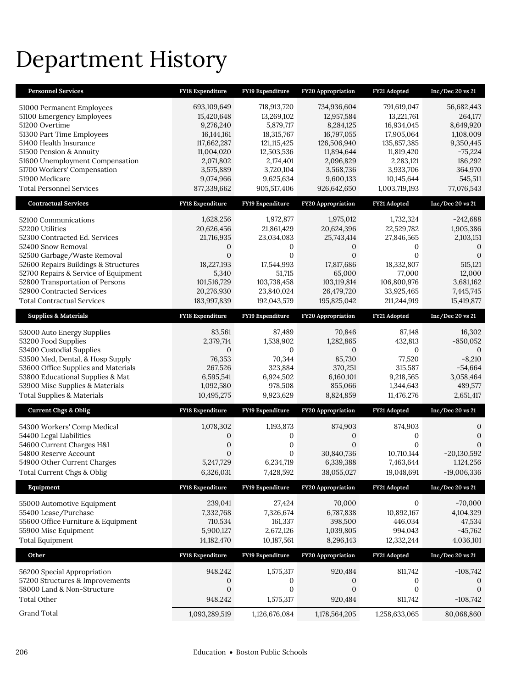## Department History

| <b>Personnel Services</b>                           | FY18 Expenditure        | FY19 Expenditure       | FY20 Appropriation        | FY21 Adopted            | Inc/Dec 20 vs 21      |
|-----------------------------------------------------|-------------------------|------------------------|---------------------------|-------------------------|-----------------------|
| 51000 Permanent Employees                           | 693,109,649             | 718,913,720            | 734,936,604               | 791,619,047             | 56,682,443            |
| 51100 Emergency Employees                           | 15,420,648              | 13,269,102             | 12,957,584                | 13,221,761              | 264,177               |
| 51200 Overtime                                      | 9,276,240               | 5,879,717              | 8,284,125                 | 16,934,045              | 8,649,920             |
| 51300 Part Time Employees                           | 16, 144, 161            | 18,315,767             | 16,797,055                | 17,905,064              | 1,108,009             |
| 51400 Health Insurance                              | 117,662,287             | 121, 115, 425          | 126,506,940               | 135,857,385             | 9,350,445             |
| 51500 Pension & Annuity                             | 11,004,020              | 12,503,536             | 11,894,644                | 11,819,420              | $-75,224$             |
| 51600 Unemployment Compensation                     | 2,071,802               | 2,174,401              | 2,096,829                 | 2,283,121               | 186,292               |
| 51700 Workers' Compensation<br>51900 Medicare       | 3,575,889<br>9,074,966  | 3,720,104<br>9,625,634 | 3,568,736<br>9,600,133    | 3,933,706<br>10,145,644 | 364,970<br>545,511    |
| <b>Total Personnel Services</b>                     | 877,339,662             | 905,517,406            | 926,642,650               | 1,003,719,193           | 77,076,543            |
| <b>Contractual Services</b>                         | FY18 Expenditure        | FY19 Expenditure       | <b>FY20 Appropriation</b> | FY21 Adopted            | $Inc/Dec$ 20 vs 21    |
|                                                     |                         |                        |                           |                         |                       |
| 52100 Communications                                | 1,628,256               | 1,972,877              | 1,975,012                 | 1,732,324               | $-242,688$            |
| 52200 Utilities                                     | 20,626,456              | 21,861,429             | 20,624,396                | 22,529,782              | 1,905,386             |
| 52300 Contracted Ed. Services<br>52400 Snow Removal | 21,716,935              | 23,034,083<br>0        | 25,743,414                | 27,846,565              | 2,103,151<br>$\Omega$ |
| 52500 Garbage/Waste Removal                         | 0<br>$\mathbf{0}$       | $\mathbf{0}$           | 0<br>$\mathbf 0$          | 0<br>$\mathbf{0}$       | $\mathbf{0}$          |
| 52600 Repairs Buildings & Structures                | 18,227,193              | 17,544,993             | 17,817,686                | 18,332,807              | 515,121               |
| 52700 Repairs & Service of Equipment                | 5,340                   | 51,715                 | 65,000                    | 77,000                  | 12,000                |
| 52800 Transportation of Persons                     | 101,516,729             | 103,738,458            | 103,119,814               | 106,800,976             | 3,681,162             |
| 52900 Contracted Services                           | 20,276,930              | 23,840,024             | 26,479,720                | 33,925,465              | 7,445,745             |
| <b>Total Contractual Services</b>                   | 183,997,839             | 192,043,579            | 195,825,042               | 211,244,919             | 15,419,877            |
| <b>Supplies &amp; Materials</b>                     | FY18 Expenditure        | FY19 Expenditure       | FY20 Appropriation        | FY21 Adopted            | Inc/Dec 20 vs 21      |
| 53000 Auto Energy Supplies                          | 83,561                  | 87,489                 | 70,846                    | 87,148                  | 16,302                |
| 53200 Food Supplies                                 | 2,379,714               | 1,538,902              | 1,282,865                 | 432,813                 | $-850,052$            |
| 53400 Custodial Supplies                            | $\mathbf{0}$            | $\mathbf{0}$           | 0                         | 0                       | $\theta$              |
| 53500 Med, Dental, & Hosp Supply                    | 76,353                  | 70,344                 | 85,730                    | 77,520                  | $-8,210$              |
| 53600 Office Supplies and Materials                 | 267,526                 | 323,884                | 370,251                   | 315,587                 | $-54,664$             |
| 53800 Educational Supplies & Mat                    | 6,595,541               | 6,924,502              | 6,160,101                 | 9,218,565               | 3,058,464             |
| 53900 Misc Supplies & Materials                     | 1,092,580               | 978,508                | 855,066                   | 1,344,643               | 489,577               |
| Total Supplies & Materials                          | 10,495,275              | 9,923,629              | 8,824,859                 | 11,476,276              | 2,651,417             |
| <b>Current Chgs &amp; Oblig</b>                     | <b>FY18 Expenditure</b> | FY19 Expenditure       | <b>FY20 Appropriation</b> |                         |                       |
|                                                     |                         |                        |                           | FY21 Adopted            | Inc/Dec 20 vs 21      |
| 54300 Workers' Comp Medical                         | 1,078,302               | 1,193,873              | 874,903                   | 874,903                 | $\boldsymbol{0}$      |
| 54400 Legal Liabilities                             | $\mathbf{0}$            | 0                      | 0                         | 0                       | $\boldsymbol{0}$      |
| 54600 Current Charges H&I                           | $\boldsymbol{0}$        | $\boldsymbol{0}$       | $\overline{0}$            | $\mathbf{0}$            | $\mathbf{0}$          |
| 54800 Reserve Account                               | $\mathbf{0}$            | $\mathbf{0}$           | 30,840,736                | 10,710,144              | $-20,130,592$         |
| 54900 Other Current Charges                         | 5,247,729               | 6,234,719              | 6,339,388                 | 7,463,644               | 1,124,256             |
| Total Current Chgs & Oblig                          | 6,326,031               | 7,428,592              | 38,055,027                | 19,048,691              | $-19,006,336$         |
| Equipment                                           | FY18 Expenditure        | FY19 Expenditure       | <b>FY20 Appropriation</b> | FY21 Adopted            | $Inc/Dec$ 20 vs 21    |
| 55000 Automotive Equipment                          | 239,041                 | 27,424                 | 70,000                    | 0                       | $-70,000$             |
| 55400 Lease/Purchase                                | 7,332,768               | 7,326,674              | 6,787,838                 | 10,892,167              | 4,104,329             |
| 55600 Office Furniture & Equipment                  | 710,534                 | 161,337                | 398,500                   | 446,034                 | 47,534                |
| 55900 Misc Equipment                                | 5,900,127               | 2,672,126              | 1,039,805                 | 994,043                 | $-45,762$             |
| <b>Total Equipment</b>                              | 14,182,470              | 10,187,561             | 8,296,143                 | 12,332,244              | 4,036,101             |
| Other                                               | FY18 Expenditure        | FY19 Expenditure       | <b>FY20 Appropriation</b> | FY21 Adopted            | Inc/Dec 20 vs 21      |
| 56200 Special Appropriation                         | 948,242                 | 1,575,317              | 920,484                   | 811,742                 | $-108,742$            |
| 57200 Structures & Improvements                     | 0                       | 0                      | 0                         | 0                       | $\mathbf{0}$          |
| 58000 Land & Non-Structure                          | $\boldsymbol{0}$        | $\boldsymbol{0}$       | $\boldsymbol{0}$          | 0                       | $\mathbf{0}$          |
| Total Other<br>Grand Total                          | 948,242                 | 1,575,317              | 920,484                   | 811,742                 | $-108,742$            |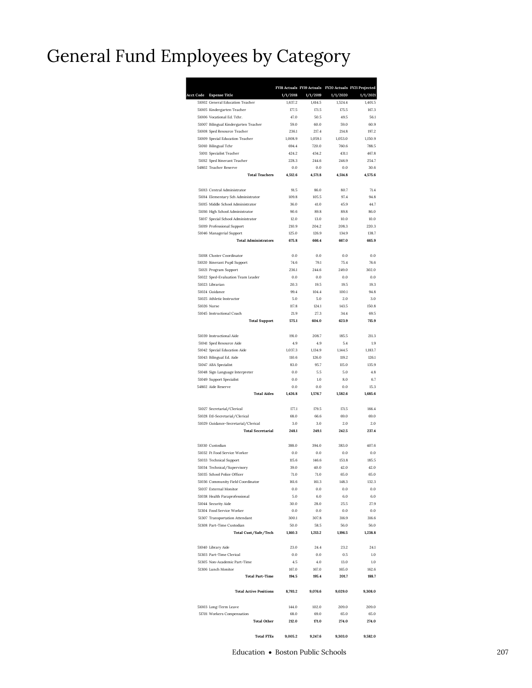### General Fund Employees by Category

| <b>Acct Code</b> | <b>Expense Title</b>                                       | 1/1/2018        | 1/1/2019        | FY18 Actuals FY19 Actuals FY20 Actuals FY21 Projected<br>1/1/2020 | 1/1/2021        |
|------------------|------------------------------------------------------------|-----------------|-----------------|-------------------------------------------------------------------|-----------------|
|                  | 51002 General Education Teacher                            | 1,637.2         | 1,614.5         | 1,524.4                                                           | 1,401.5         |
|                  | 51005 Kindergarten Teacher                                 | 177.5           | 171.5           | 175.5                                                             | 167.3           |
|                  | 51006 Vocational Ed. Tchr.                                 | 47.0            | 50.5            | 49.5                                                              | 56.1            |
|                  | 51007 Bilingual Kindergarten Teacher                       | 59.0            | 60.0            | 59.0                                                              | 60.9            |
|                  | 51008 Sped Resource Teacher                                | 236.1           | 217.4           | 214.8                                                             | 197.2           |
|                  | 51009 Special Education Teacher                            | 1,008.9         | 1,059.1         | 1,053.0                                                           | 1,150.9         |
|                  | 51010 Bilingual Tchr                                       | 694.4           | 720.0           | 760.6                                                             | 788.5           |
|                  | 51011 Specialist Teacher                                   | 424.2           | 434.2           | 431.1                                                             | 467.8           |
|                  | 51012 Sped Itinerant Teacher                               | 228.3           | 244.6           | 246.9                                                             | 254.7           |
|                  | 54802 Teacher Reserve<br><b>Total Teachers</b>             | 0.0<br>4,512.6  | 0.0<br>4.571.8  | 0.0<br>4.514.8                                                    | 30.6<br>4,575.6 |
|                  | 51013 Central Administrator                                | 91.5            | 86.0            | 80.7                                                              | 71.4            |
|                  | 51014 Elementary Sch Administrator                         | 109.8           | 105.5           | 97.4                                                              | 94.8            |
|                  | 51015 Middle School Administrator                          | 36.0            | 41.0            | 45.9                                                              | 44.7            |
|                  | 51016 High School Administrator                            | 90.6            | 89.8            | 89.8                                                              | 86.0            |
|                  | 51017 Special School Administrator                         | 12.0            | 13.0            | 10.0                                                              | 10.0            |
|                  | 51019 Professional Support                                 | 210.9           | 204.2           | 208.3                                                             | 220.3           |
|                  | 51046 Managerial Support                                   | 125.0           | 126.9           | 134.9                                                             | 138.7           |
|                  | <b>Total Administrators</b>                                | 675.8           | 666.4           | 667.0                                                             | 665.9           |
|                  | 51018 Cluster Coordinator<br>51020 Itinerant Pupil Support | 0.0<br>74.6     | 0.0<br>79.1     | 0.0<br>75.4                                                       | 0.0<br>76.6     |
|                  | 51021 Program Support                                      | 236.1           | 244.6           | 249.0                                                             | 302.0           |
|                  | 51022 Sped-Evaluation Team Leader                          | 0.0             | 0.0             | 0.0                                                               | 0.0             |
|                  | 51023 Librarian                                            | 20.3            | 19.5            | 19.5                                                              | 19.3            |
|                  | 51024 Guidance                                             | 99.4            | 104.4           | 100.1                                                             | 94.8            |
|                  | 51025 Athletic Instructor                                  | 5.0             | 5.0             | 2.0                                                               | 3.0             |
|                  | 51026 Nurse                                                | 117.8           | 124.1           | 143.5                                                             | 150.8           |
|                  | 51045 Instructional Coach                                  | 21.9            | 27.3            | 34.4                                                              | 69.5            |
|                  | <b>Total Support</b>                                       | 575.1           | 604.0           | 623.9                                                             | 715.9           |
|                  | 51039 Instructional Aide                                   | 191.0           | 208.7           | 185.5                                                             | 211.3           |
|                  | 51041 Sped Resource Aide                                   | 4.9             | 4.9             | 5.4                                                               | 1.9             |
|                  | 51042 Special Education Aide                               | 1,037.3         | 1,134.9         | 1,144.5                                                           | 1,183.7         |
|                  | 51043 Bilingual Ed. Aide                                   | 110.6           | 126.0           | 119.2                                                             | 126.1           |
|                  | 51047 ABA Specialist                                       | 83.0            | 95.7            | 115.0                                                             | 135.9           |
|                  | 51048 Sign Language Interpreter                            | 0.0             | 5.5             | 5.0                                                               | 4.8             |
|                  | 51049 Support Specialist                                   | 0.0             | 1.0             | 8.0                                                               | 6.7             |
|                  | 54802 Aide Reserve<br><b>Total Aides</b>                   | 0.0<br>1,426.8  | 0.0<br>1,576.7  | 0.0<br>1,582.6                                                    | 15.3<br>1,685.6 |
|                  | 51027 Secretarial/Clerical                                 | 177.1           | 179.5           | 171.5                                                             | 166.4           |
|                  | 51028 Etl-Secretarial/Clerical                             | 68.0            | 66.6            | 69.0                                                              | 69.0            |
|                  | 51029 Guidance-Secretarial/Clerical                        | 3.0             | 3.0             | 2.0                                                               | 2.0             |
|                  | <b>Total Secretarial</b>                                   | 248.1           | 249.1           | 242.5                                                             | 237.4           |
|                  | 51030 Custodian                                            | 388.0           | 394.0           | 383.0                                                             | 407.6           |
|                  | 51032 Ft Food Service Worker                               | 0.0             | 0.0             | 0.0                                                               | 0.0             |
|                  | 51033 Technical Support                                    | 115.6           | 146.6           | 153.8                                                             | 185.5           |
|                  | 51034 Technical/Supervisory                                | 39.0            | 40.0            | 42.0                                                              | 42.0            |
|                  | 51035 School Police Officer                                | 71.0            | 71.0            | 65.0                                                              | 65.0            |
|                  | 51036 Community Field Coordinator                          | 161.6           | 161.3           | 148.3                                                             | 132.3           |
|                  | 51037 External Monitor                                     | 0.0             | 0.0             | 0.0                                                               | 0.0             |
|                  | 51038 Health Paraprofessional                              | 5.0             | 6.0             | 6.0                                                               | 6.0             |
|                  | 51044 Security Aide                                        | 30.0            | 28.0            | 25.5                                                              | 27.9            |
|                  | 51304 Food Service Worker                                  | 0.0             | 0.0             | 0.0                                                               | 0.0             |
|                  | 51307 Transportation Attendant                             | 300.1           | 307.8           | 316.9                                                             | 316.6           |
|                  | 51308 Part-Time Custodian<br>Total Cust/Safe/Tech          | 50.0<br>1,160.3 | 58.5<br>1,213.2 | 56.0<br>1,196.5                                                   | 56.0<br>1,238.8 |
|                  |                                                            |                 |                 |                                                                   |                 |
|                  | 51040 Library Aide<br>51303 Part-Time Clerical             | 23.0<br>0.0     | 24.4<br>0.0     | 23.2<br>0.5                                                       | 24.1<br>1.0     |
|                  | 51305 Non-Academic Part-Time                               | 4.5             | 4.0             | 13.0                                                              | 1.0             |
|                  | 51306 Lunch Monitor                                        | 167.0           | 167.0           | 165.0                                                             | 162.6           |
|                  | <b>Total Part-Time</b>                                     | 194.5           | 195.4           | 201.7                                                             | 188.7           |
|                  | <b>Total Active Positions</b>                              | 8,793.2         | 9,076.6         | 9,029.0                                                           | 9,308.0         |
|                  | 51003 Long-Term Leave                                      | 144.0           | 102.0           | 209.0                                                             | 209.0           |
|                  | 51701 Workers Compensation                                 | 68.0            | 69.0            | 65.0                                                              | 65.0            |
|                  | <b>Total Other</b>                                         | 212.0           | 171.0           | 274.0                                                             | 274.0           |
|                  | <b>Total FTEs</b>                                          | 9,005.2         | 9,247.6         | 9,303.0                                                           | 9,582.0         |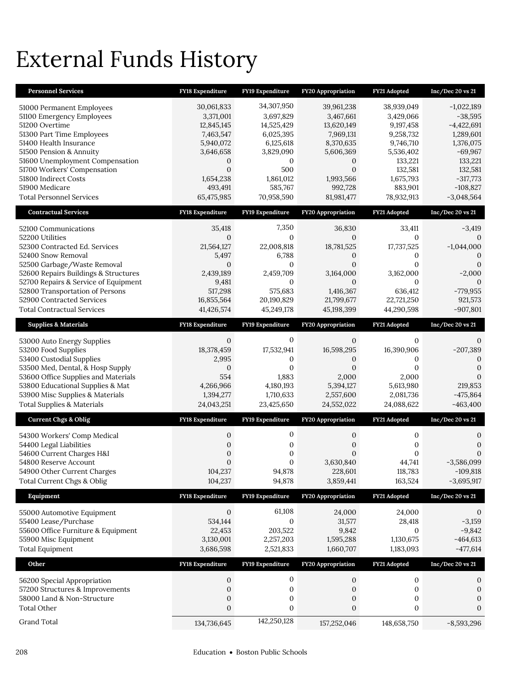# External Funds History

| <b>Personnel Services</b>                                                                                                                                                                                                                                                                                          | FY18 Expenditure                                                                                                                    | FY19 Expenditure                                                                                                                          | FY20 Appropriation                                                                                                                        | FY21 Adopted                                                                                                                            | Inc/Dec 20 vs 21                                                                                                                                   |
|--------------------------------------------------------------------------------------------------------------------------------------------------------------------------------------------------------------------------------------------------------------------------------------------------------------------|-------------------------------------------------------------------------------------------------------------------------------------|-------------------------------------------------------------------------------------------------------------------------------------------|-------------------------------------------------------------------------------------------------------------------------------------------|-----------------------------------------------------------------------------------------------------------------------------------------|----------------------------------------------------------------------------------------------------------------------------------------------------|
| 51000 Permanent Employees<br>51100 Emergency Employees<br>51200 Overtime<br>51300 Part Time Employees<br>51400 Health Insurance<br>51500 Pension & Annuity<br>51600 Unemployment Compensation<br>51700 Workers' Compensation<br>51800 Indirect Costs<br>51900 Medicare<br><b>Total Personnel Services</b>          | 30,061,833<br>3,371,001<br>12,845,145<br>7,463,547<br>5,940,072<br>3,646,658<br>0<br>$\Omega$<br>1,654,238<br>493,491<br>65,475,985 | 34,307,950<br>3,697,829<br>14,525,429<br>6,025,395<br>6,125,618<br>3,829,090<br>$\mathbf{0}$<br>500<br>1,861,012<br>585,767<br>70,958,590 | 39,961,238<br>3,467,661<br>13,620,149<br>7,969,131<br>8,370,635<br>5,606,369<br>0<br>$\overline{0}$<br>1,993,566<br>992,728<br>81,981,477 | 38,939,049<br>3,429,066<br>9,197,458<br>9,258,732<br>9,746,710<br>5,536,402<br>133,221<br>132,581<br>1,675,793<br>883,901<br>78,932,913 | $-1,022,189$<br>$-38,595$<br>$-4,422,691$<br>1,289,601<br>1,376,075<br>$-69,967$<br>133,221<br>132,581<br>$-317,773$<br>$-108,827$<br>$-3,048,564$ |
| <b>Contractual Services</b>                                                                                                                                                                                                                                                                                        | <b>FY18 Expenditure</b>                                                                                                             | FY19 Expenditure                                                                                                                          | <b>FY20 Appropriation</b>                                                                                                                 | FY21 Adopted                                                                                                                            | Inc/Dec 20 vs 21                                                                                                                                   |
| 52100 Communications<br>52200 Utilities<br>52300 Contracted Ed. Services<br>52400 Snow Removal<br>52500 Garbage/Waste Removal<br>52600 Repairs Buildings & Structures<br>52700 Repairs & Service of Equipment<br>52800 Transportation of Persons<br>52900 Contracted Services<br><b>Total Contractual Services</b> | 35,418<br>$\Omega$<br>21,564,127<br>5,497<br>$\mathbf{0}$<br>2,439,189<br>9,481<br>517,298<br>16,855,564<br>41,426,574              | 7,350<br>$\mathbf{0}$<br>22,008,818<br>6,788<br>$\mathbf{0}$<br>2,459,709<br>$\boldsymbol{0}$<br>575,683<br>20,190,829<br>45,249,178      | 36,830<br>$\mathbf{0}$<br>18,781,525<br>0<br>$\overline{0}$<br>3,164,000<br>$\mathbf{0}$<br>1,416,367<br>21,799,677<br>45,198,399         | 33,411<br>$\Omega$<br>17,737,525<br>$\mathbf{0}$<br>$\mathbf{0}$<br>3,162,000<br>0<br>636,412<br>22,721,250<br>44,290,598               | $-3,419$<br>$-1,044,000$<br>$\Omega$<br>0<br>$-2,000$<br>$\mathbf{0}$<br>$-779,955$<br>921,573<br>$-907,801$                                       |
| <b>Supplies &amp; Materials</b>                                                                                                                                                                                                                                                                                    | <b>FY18 Expenditure</b>                                                                                                             | FY19 Expenditure                                                                                                                          | <b>FY20 Appropriation</b>                                                                                                                 | FY21 Adopted                                                                                                                            | Inc/Dec 20 vs 21                                                                                                                                   |
| 53000 Auto Energy Supplies<br>53200 Food Supplies<br>53400 Custodial Supplies<br>53500 Med, Dental, & Hosp Supply<br>53600 Office Supplies and Materials<br>53800 Educational Supplies & Mat<br>53900 Misc Supplies & Materials<br><b>Total Supplies &amp; Materials</b>                                           | $\mathbf{0}$<br>18,378,459<br>2,995<br>$\mathbf{0}$<br>554<br>4,266,966<br>1,394,277<br>24,043,251                                  | $\mathbf{0}$<br>17,532,941<br>0<br>0<br>1,883<br>4,180,193<br>1,710,633<br>23,425,650                                                     | $\mathbf{0}$<br>16,598,295<br>0<br>$\Omega$<br>2,000<br>5,394,127<br>2,557,600<br>24,552,022                                              | $\mathbf{0}$<br>16,390,906<br>0<br>$\Omega$<br>2,000<br>5,613,980<br>2,081,736<br>24,088,622                                            | 0<br>$-207,389$<br>0<br>$\mathbf{0}$<br>$\Omega$<br>219,853<br>$-475,864$<br>$-463,400$                                                            |
| <b>Current Chgs &amp; Oblig</b>                                                                                                                                                                                                                                                                                    | FY18 Expenditure                                                                                                                    | FY19 Expenditure                                                                                                                          | <b>FY20 Appropriation</b>                                                                                                                 | FY21 Adopted                                                                                                                            | Inc/Dec 20 vs 21                                                                                                                                   |
| 54300 Workers' Comp Medical<br>54400 Legal Liabilities<br>54600 Current Charges H&I<br>54800 Reserve Account<br>54900 Other Current Charges<br>Total Current Chgs & Oblig                                                                                                                                          | 0<br>$\mathbf{0}$<br>$\overline{0}$<br>$\mathbf{0}$<br>104.237<br>104,237                                                           | 0<br>0<br>0<br>$\mathbf{0}$<br>94,878<br>94,878                                                                                           | 0<br>$\boldsymbol{0}$<br>$\Omega$<br>3,630,840<br>228,601<br>3,859,441                                                                    | 0<br>0<br>$\mathbf{0}$<br>44,741<br>118,783<br>163,524                                                                                  | 0<br>$\boldsymbol{0}$<br>$\mathbf{0}$<br>$-3,586,099$<br>$-109,818$<br>$-3,695,917$                                                                |
| Equipment                                                                                                                                                                                                                                                                                                          | FY18 Expenditure                                                                                                                    | FY19 Expenditure                                                                                                                          | FY20 Appropriation                                                                                                                        | FY21 Adopted                                                                                                                            | Inc/Dec 20 vs 21                                                                                                                                   |
| 55000 Automotive Equipment<br>55400 Lease/Purchase<br>55600 Office Furniture & Equipment<br>55900 Misc Equipment<br><b>Total Equipment</b>                                                                                                                                                                         | $\mathbf{0}$<br>534,144<br>22,453<br>3,130,001<br>3,686,598                                                                         | 61,108<br>$\mathbf{0}$<br>203,522<br>2,257,203<br>2,521,833                                                                               | 24,000<br>31,577<br>9,842<br>1,595,288<br>1,660,707                                                                                       | 24,000<br>28,418<br>$\mathbf{0}$<br>1,130,675<br>1,183,093                                                                              | $\mathbf{0}$<br>$-3,159$<br>$-9,842$<br>$-464,613$<br>$-477,614$                                                                                   |
| Other                                                                                                                                                                                                                                                                                                              |                                                                                                                                     | FY19 Expenditure                                                                                                                          | FY20 Appropriation                                                                                                                        | FY21 Adopted                                                                                                                            | Inc/Dec 20 vs 21                                                                                                                                   |
|                                                                                                                                                                                                                                                                                                                    | FY18 Expenditure                                                                                                                    |                                                                                                                                           |                                                                                                                                           |                                                                                                                                         |                                                                                                                                                    |
| 56200 Special Appropriation<br>57200 Structures & Improvements<br>58000 Land & Non-Structure<br>Total Other<br><b>Grand Total</b>                                                                                                                                                                                  | $\mathbf{0}$<br>$\mathbf{0}$<br>$\boldsymbol{0}$<br>$\mathbf{0}$<br>134,736,645                                                     | $\boldsymbol{0}$<br>$\boldsymbol{0}$<br>$\boldsymbol{0}$<br>0<br>142,250,128                                                              | 0<br>$\boldsymbol{0}$<br>0<br>$\boldsymbol{0}$                                                                                            | 0<br>$\boldsymbol{0}$<br>$\boldsymbol{0}$<br>$\boldsymbol{0}$                                                                           | 0<br>$\boldsymbol{0}$<br>0<br>0                                                                                                                    |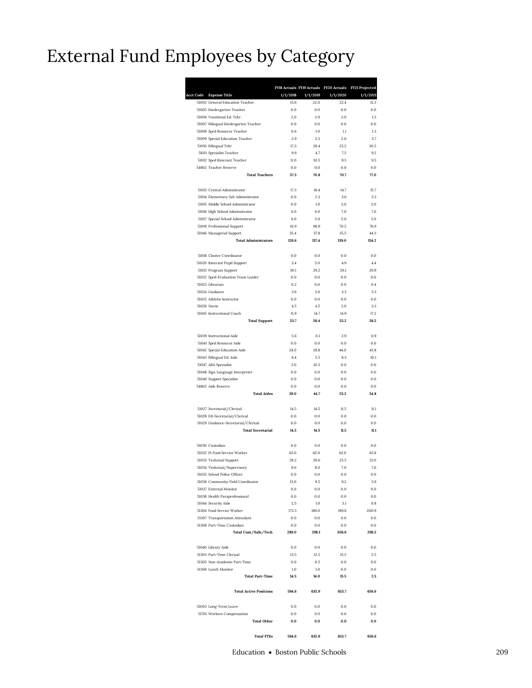### External Fund Employees by Category

| <b>Acct Code</b> | <b>Expense Title</b>                                            | 1/1/2018      | 1/1/2019      | FY18 Actuals FY19 Actuals FY20 Actuals<br>1/1/2020 | FY21 Projected<br>1/1/2021 |
|------------------|-----------------------------------------------------------------|---------------|---------------|----------------------------------------------------|----------------------------|
|                  | 51002 General Education Teacher                                 | 13.6          | 22.0          | 22.4                                               | 21.3                       |
|                  | 51005 Kindergarten Teacher                                      | 0.0           | 0.0           | 0.0                                                | 0.0                        |
|                  | 51006 Vocational Ed. Tchr.                                      | 2.0           | 2.0           | 3.0                                                | 1.5                        |
|                  | 51007 Bilingual Kindergarten Teacher                            | 0.0           | 0.0           | 0.0                                                | 0.0                        |
|                  | 51008 Sped Resource Teacher                                     | 0.6           | 1.0           | 1.1                                                | 1.3                        |
|                  | 51009 Special Education Teacher<br>51010 Bilingual Tchr         | 2.9<br>17.3   | 2.2<br>28.4   | 2.0<br>25.2                                        | 3.7<br>30.5                |
|                  | 51011 Specialist Teacher                                        | 9.9           | 4.7           | 7.5                                                | 9.2                        |
|                  | 51012 Sped Itinerant Teacher                                    | 11.0          | 10.5          | 9.5                                                | 9.5                        |
|                  | 54802 Teacher Reserve                                           | 0.0           | 0.0           | 0.0                                                | 0.0                        |
|                  | <b>Total Teachers</b>                                           | 57.3          | 70.8          | 70.7                                               | 77.0                       |
|                  | 51013 Central Administrator                                     | 17.3          | 16.4          | 14.7                                               | 15.7                       |
|                  | 51014 Elementary Sch Administrator                              | 0.0           | 2.3           | 3.6                                                | 3.3                        |
|                  | 51015 Middle School Administrator                               | 0.0           | 1.0           | 3.0                                                | 2.0                        |
|                  | 51016 High School Administrator                                 | 6.0           | 6.0           | 7.0                                                | 7.0                        |
|                  | 51017 Special School Administrator                              | 6.0           | 5.0           | 5.0                                                | 5.0                        |
|                  | 51019 Professional Support                                      | 61.9          | 68.9          | 70.2                                               | 76.9                       |
|                  | 51046 Managerial Support<br><b>Total Administrators</b>         | 35.4<br>126.6 | 37.8<br>137.4 | 35.5<br>139.0                                      | 44.3<br>154.2              |
|                  | 51018 Cluster Coordinator                                       | 0.0           | 0.0           | 0.0                                                | 0.0                        |
|                  | 51020 Itinerant Pupil Support                                   | 3.4           | 5.0           | 4.9                                                | 4.4                        |
|                  | 51021 Program Support                                           | 30.1          | 29.2          | 29.1                                               | 29.9                       |
|                  | 51022 Sped-Evaluation Team Leader                               | 0.0           | 0.0           | 0.0                                                | 0.0                        |
|                  | 51023 Librarian                                                 | 0.2           | 0.0           | 0.0                                                | 0.4                        |
|                  | 51024 Guidance                                                  | 3.6           | 3.0           | 3.3                                                | 3.3                        |
|                  | 51025 Athletic Instructor                                       | 0.0           | 0.0           | 0.0                                                | 0.0                        |
|                  | 51026 Nurse                                                     | 4.5           | 4.5           | 3.0                                                | 3.3                        |
|                  | 51045 Instructional Coach                                       | 11.9          | 14.7          | 14.9                                               | 17.2                       |
|                  | <b>Total Support</b>                                            | 53.7          | 56.4          | 55.2                                               | 58.5                       |
|                  | 51039 Instructional Aide                                        | 5.6           | 0.1           | 2.9                                                | 0.9                        |
|                  | 51041 Sped Resource Aide                                        | 0.0           | 0.0           | 0.0                                                | 0.0                        |
|                  | 51042 Special Education Aide                                    | 24.0          | 28.8          | 44.0                                               | 43.8                       |
|                  | 51043 Bilingual Ed. Aide<br>51047 ABA Specialist                | 6.4<br>3.0    | 5.5<br>10.3   | 8.3<br>0.0                                         | 10.1<br>0.0                |
|                  | 51048 Sign Language Interpreter                                 | 0.0           | 0.0           | 0.0                                                | 0.0                        |
|                  | 51049 Support Specialist                                        | 0.0           | 0.0           | 0.0                                                | 0.0                        |
|                  | 54802 Aide Reserve                                              | 0.0           | 0.0           | 0.0                                                | 0.0                        |
|                  | <b>Total Aides</b>                                              | 39.0          | 44.7          | 55.2                                               | 54.8                       |
|                  | 51027 Secretarial/Clerical                                      | 14.5          | 14.5          | 11.5                                               | 11.1                       |
|                  | 51028 Etl-Secretarial/Clerical                                  | 0.0           | 0.0           | 0.0                                                | 0.0                        |
|                  | 51029 Guidance-Secretarial/Clerical<br><b>Total Secretarial</b> | 0.0<br>14.5   | 0.0<br>14.5   | 0.0<br>11.5                                        | 0.0<br>11.1                |
|                  |                                                                 |               |               |                                                    |                            |
|                  | 51030 Custodian<br>51032 Ft Food Service Worker                 | 0.0<br>63.0   | 0.0<br>62.0   | 0.0<br>62.0                                        | 0.0<br>62.8                |
|                  | 51033 Technical Support                                         | 28.2          | 28.6          | 25.5                                               | 21.0                       |
|                  | 51034 Technical/Supervisory                                     | 9.0           | 8.0           | 7.0                                                | 7.0                        |
|                  | 51035 School Police Officer                                     | 0.0           | 0.0           | 0.0                                                | 0.0                        |
|                  | 51036 Community Field Coordinator                               | 13.0          | 9.5           | 9.2                                                | 5.9                        |
|                  | 51037 External Monitor                                          | 0.0           | 0.0           | $0.0\,$                                            | 0.0                        |
|                  | 51038 Health Paraprofessional                                   | 0.0           | 0.0           | $0.0\,$                                            | 0.0                        |
|                  | 51044 Security Aide                                             | 2.5           | 1.0           | 3.1                                                | 0.8                        |
|                  | 51304 Food Service Worker                                       | 173.3         | 189.0         | 199.8                                              | 200.9                      |
|                  | 51307 Transportation Attendant                                  | 0.0           | 0.0           | 0.0                                                | 0.0                        |
|                  | 51308 Part-Time Custodian<br>Total Cust/Safe/Tech               | 0.0<br>289.0  | 0.0<br>298.1  | 0.0<br>306.6                                       | 0.0<br>298.5               |
|                  |                                                                 |               |               |                                                    |                            |
|                  | 51040 Library Aide                                              | 0.0           | 0.0           | $0.0\,$                                            | 0.0                        |
|                  | 51303 Part-Time Clerical<br>51305 Non-Academic Part-Time        | 13.5<br>0.0   | 12.5<br>0.5   | 15.5<br>0.0                                        | 2.5<br>0.0                 |
|                  | 51306 Lunch Monitor                                             | 1.0           | 1.0           | $0.0\,$                                            | 0.0                        |
|                  | <b>Total Part-Time</b>                                          | 14.5          | 14.0          | 15.5                                               | 2.5                        |
|                  | <b>Total Active Positions</b>                                   | 594.6         | 635.9         | 653.7                                              | 656.6                      |
|                  | 51003 Long-Term Leave                                           | 0.0           | 0.0           | 0.0                                                | 0.0                        |
|                  | 51701 Workers Compensation<br><b>Total Other</b>                | 0.0<br>0.0    | 0.0<br>0.0    | $0.0\,$<br>0.0                                     | $0.0\,$<br>0.0             |
|                  |                                                                 |               |               |                                                    |                            |
|                  | <b>Total FTEs</b>                                               | 594.6         | 635.9         | 653.7                                              | 656.6                      |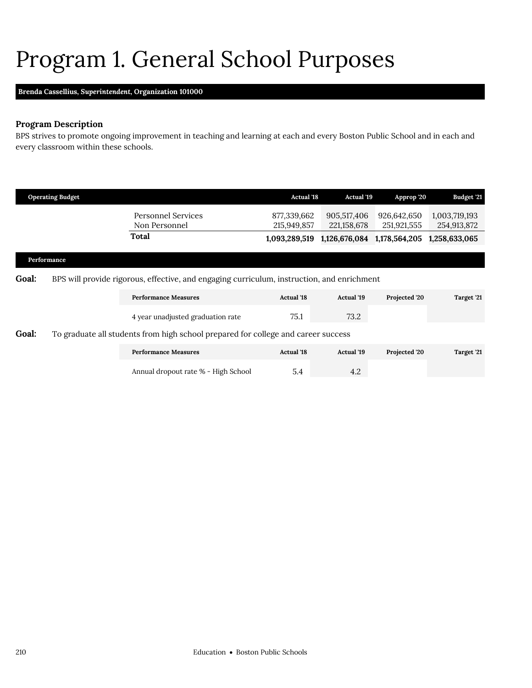## <span id="page-13-0"></span>Program 1. General School Purposes

### **Brenda Cassellius,** *Superintendent,* **Organization 101000**

### **Program Description**

BPS strives to promote ongoing improvement in teaching and learning at each and every Boston Public School and in each and every classroom within these schools.

|       | <b>Operating Budget</b> |                                                                                            | <b>Actual '18</b>          | <b>Actual '19</b>          | Approp '20                 | Budget '21                   |
|-------|-------------------------|--------------------------------------------------------------------------------------------|----------------------------|----------------------------|----------------------------|------------------------------|
|       |                         | <b>Personnel Services</b><br>Non Personnel                                                 | 877,339,662<br>215,949,857 | 905,517,406<br>221,158,678 | 926,642,650<br>251,921,555 | 1,003,719,193<br>254,913,872 |
|       |                         | Total                                                                                      | 1,093,289,519              | 1,126,676,084              | 1,178,564,205              | 1,258,633,065                |
|       | Performance             |                                                                                            |                            |                            |                            |                              |
| Goal: |                         | BPS will provide rigorous, effective, and engaging curriculum, instruction, and enrichment |                            |                            |                            |                              |
|       |                         | <b>Performance Measures</b>                                                                | <b>Actual</b> '18          | <b>Actual</b> '19          | Projected '20              | Target '21                   |
|       |                         | 4 year unadjusted graduation rate                                                          | 75.1                       | 73.2                       |                            |                              |
| Goal: |                         | To graduate all students from high school prepared for college and career success          |                            |                            |                            |                              |
|       |                         | <b>Performance Measures</b>                                                                | <b>Actual</b> '18          | <b>Actual</b> '19          | Projected '20              | Target '21                   |

Annual dropout rate % - High School 5.4 5.4 4.2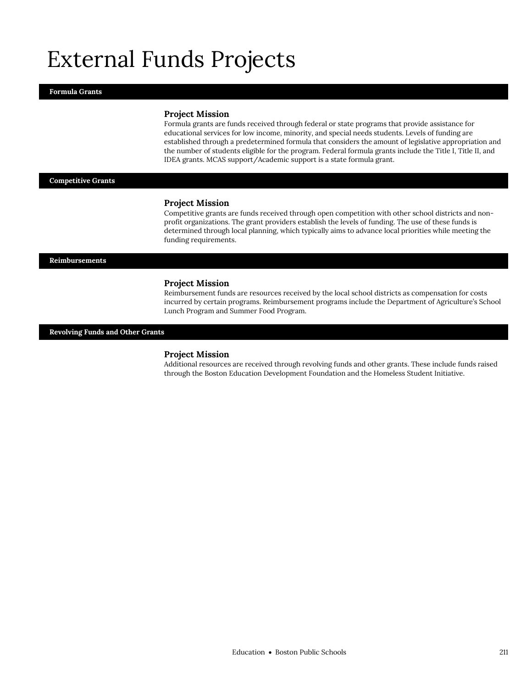## External Funds Projects

#### **Formula Grants**

#### **Project Mission**

Formula grants are funds received through federal or state programs that provide assistance for educational services for low income, minority, and special needs students. Levels of funding are established through a predetermined formula that considers the amount of legislative appropriation and the number of students eligible for the program. Federal formula grants include the Title I, Title II, and IDEA grants. MCAS support/Academic support is a state formula grant.

#### **Competitive Grants**

#### **Project Mission**

Competitive grants are funds received through open competition with other school districts and nonprofit organizations. The grant providers establish the levels of funding. The use of these funds is determined through local planning, which typically aims to advance local priorities while meeting the funding requirements.

#### **Reimbursements**

#### **Project Mission**

Reimbursement funds are resources received by the local school districts as compensation for costs incurred by certain programs. Reimbursement programs include the Department of Agriculture's School Lunch Program and Summer Food Program.

#### **Revolving Funds and Other Grants**

#### **Project Mission**

Additional resources are received through revolving funds and other grants. These include funds raised through the Boston Education Development Foundation and the Homeless Student Initiative.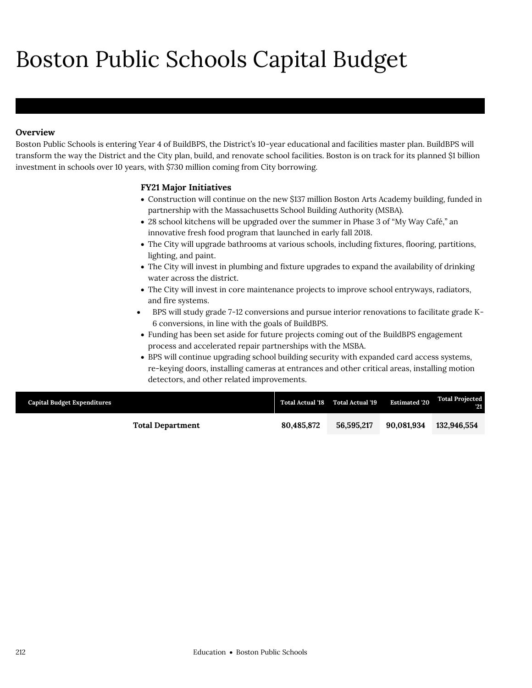# Boston Public Schools Capital Budget

### **Overview**

Boston Public Schools is entering Year 4 of BuildBPS, the District's 10-year educational and facilities master plan. BuildBPS will transform the way the District and the City plan, build, and renovate school facilities. Boston is on track for its planned \$1 billion investment in schools over 10 years, with \$730 million coming from City borrowing.

### **FY21 Major Initiatives**

- Construction will continue on the new \$137 million Boston Arts Academy building, funded in partnership with the Massachusetts School Building Authority (MSBA).
- 28 school kitchens will be upgraded over the summer in Phase 3 of "My Way Café," an innovative fresh food program that launched in early fall 2018.
- The City will upgrade bathrooms at various schools, including fixtures, flooring, partitions, lighting, and paint.
- The City will invest in plumbing and fixture upgrades to expand the availability of drinking water across the district.
- The City will invest in core maintenance projects to improve school entryways, radiators, and fire systems.
- BPS will study grade 7-12 conversions and pursue interior renovations to facilitate grade K-6 conversions, in line with the goals of BuildBPS.
- Funding has been set aside for future projects coming out of the BuildBPS engagement process and accelerated repair partnerships with the MSBA.
- BPS will continue upgrading school building security with expanded card access systems, re-keying doors, installing cameras at entrances and other critical areas, installing motion detectors, and other related improvements.

| <b>Capital Budget Expenditures</b> |                         |            | Total Actual '18 Total Actual '19 | <b>Estimated 20</b> | <b>Total Projected</b><br>- 21 |
|------------------------------------|-------------------------|------------|-----------------------------------|---------------------|--------------------------------|
|                                    | <b>Total Department</b> | 80.485.872 | 56,595,217                        | 90.081.934          | 132,946.554                    |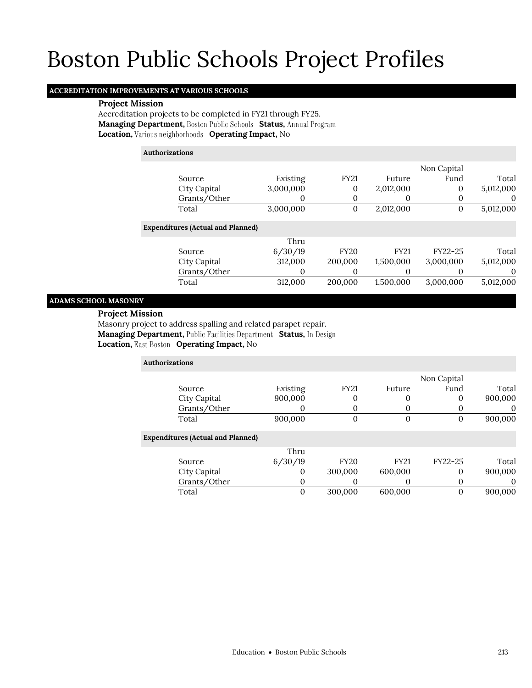### **ACCREDITATION IMPROVEMENTS AT VARIOUS SCHOOLS**

### **Project Mission**

Accreditation projects to be completed in FY21 through FY25. **Managing Department, Boston Public Schools Status, Annual Program Location, Various neighborhoods Operating Impact, No** 

### **Authorizations**

|                                          |           |             |             | Non Capital |           |
|------------------------------------------|-----------|-------------|-------------|-------------|-----------|
| Source                                   | Existing  | <b>FY21</b> | Future      | Fund        | Total     |
| City Capital                             | 3,000,000 | 0           | 2,012,000   | $\Omega$    | 5,012,000 |
| Grants/Other                             |           | 0           |             |             | $\theta$  |
| Total                                    | 3,000,000 | 0           | 2,012,000   | 0           | 5,012,000 |
| <b>Expenditures (Actual and Planned)</b> |           |             |             |             |           |
|                                          | Thru      |             |             |             |           |
| Source                                   | 6/30/19   | <b>FY20</b> | <b>FY21</b> | FY22-25     | Total     |
| City Capital                             | 312,000   | 200,000     | 1,500,000   | 3,000,000   | 5,012,000 |
| Grants/Other                             | 0         | 0           |             |             | 0         |
| Total                                    | 312,000   | 200,000     | 1,500,000   | 3,000,000   | 5,012,000 |
|                                          |           |             |             |             |           |

### **ADAMS SCHOOL MASONRY**

#### **Project Mission**

Masonry project to address spalling and related parapet repair. **Managing Department, Public Facilities Department Status, In Design Location, East Boston Operating Impact, No** 

| <b>Authorizations</b>                    |          |                |             |             |          |
|------------------------------------------|----------|----------------|-------------|-------------|----------|
|                                          |          |                |             | Non Capital |          |
| Source                                   | Existing | <b>FY21</b>    | Future      | Fund        | Total    |
| City Capital                             | 900,000  | 0              | 0           | 0           | 900,000  |
| Grants/Other                             | 0        | 0              | $\theta$    | 0           | $\theta$ |
| Total                                    | 900,000  | $\overline{0}$ | 0           | 0           | 900,000  |
| <b>Expenditures (Actual and Planned)</b> |          |                |             |             |          |
|                                          | Thru     |                |             |             |          |
| Source                                   | 6/30/19  | <b>FY20</b>    | <b>FY21</b> | FY22-25     | Total    |
| City Capital                             | $\Omega$ | 300,000        | 600,000     | 0           | 900,000  |
| Grants/Other                             | 0        | 0              | 0           | 0           | 0        |
| Total                                    | $\Omega$ | 300,000        | 600,000     | $\Omega$    | 900.000  |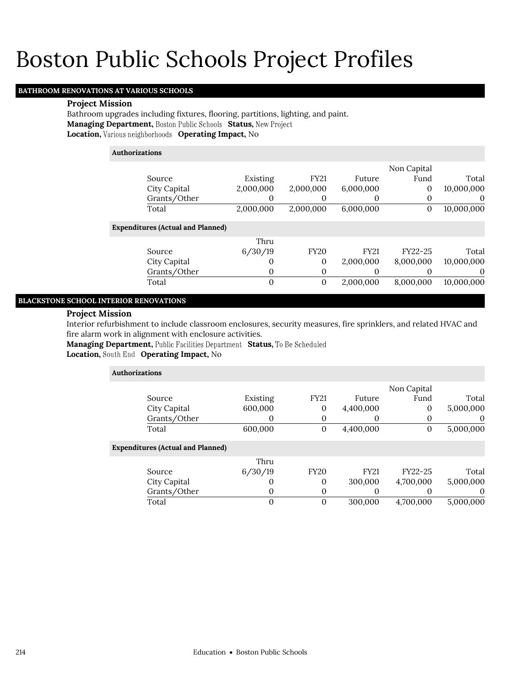### **BATHROOM RENOVATIONS AT VARIOUS SCHOOLS**

#### **Project Mission**

Bathroom upgrades including fixtures, flooring, partitions, lighting, and paint. **Managing Department, Boston Public Schools Status, New Project Location, Various neighborhoods Operating Impact, No** 

### **Authorizations**

|                                          |           |             |             | Non Capital |            |
|------------------------------------------|-----------|-------------|-------------|-------------|------------|
| Source                                   | Existing  | <b>FY21</b> | Future      | Fund        | Total      |
| City Capital                             | 2,000,000 | 2,000,000   | 6,000,000   | 0           | 10,000,000 |
| Grants/Other                             |           | 0           | $_{0}$      | 0           | $\theta$   |
| Total                                    | 2,000,000 | 2,000,000   | 6,000,000   | 0           | 10,000,000 |
| <b>Expenditures (Actual and Planned)</b> |           |             |             |             |            |
|                                          | Thru      |             |             |             |            |
| Source                                   | 6/30/19   | <b>FY20</b> | <b>FY21</b> | FY22-25     | Total      |
| City Capital                             | $\Omega$  | 0           | 2,000,000   | 8,000,000   | 10,000,000 |
| Grants/Other                             |           | 0           |             |             | $\theta$   |
| Total                                    | $\Omega$  | 0           | 2,000,000   | 8,000,000   | 10.000.000 |

### **BLACKSTONE SCHOOL INTERIOR RENOVATIONS**

### **Project Mission**

Interior refurbishment to include classroom enclosures, security measures, fire sprinklers, and related HVAC and fire alarm work in alignment with enclosure activities.

**Managing Department, Public Facilities Department Status, To Be Scheduled** 

**Location, Operating Impact,** No

| <b>Authorizations</b> |                                          |          |              |             |             |           |
|-----------------------|------------------------------------------|----------|--------------|-------------|-------------|-----------|
|                       |                                          |          |              |             | Non Capital |           |
|                       | Source                                   | Existing | <b>FY21</b>  | Future      | Fund        | Total     |
|                       | City Capital                             | 600,000  | $\theta$     | 4,400,000   | 0           | 5,000,000 |
|                       | Grants/Other                             | O        | 0            |             |             | $\theta$  |
|                       | Total                                    | 600,000  | $\mathbf{0}$ | 4,400,000   | 0           | 5,000,000 |
|                       | <b>Expenditures (Actual and Planned)</b> |          |              |             |             |           |
|                       |                                          | Thru     |              |             |             |           |
|                       | Source                                   | 6/30/19  | <b>FY20</b>  | <b>FY21</b> | FY22-25     | Total     |
|                       | City Capital                             | O        | 0            | 300,000     | 4,700,000   | 5,000,000 |
|                       | Grants/Other                             | 0        | 0            |             |             | $\theta$  |
|                       | Total                                    | 0        | $\theta$     | 300.000     | 4.700.000   | 5,000,000 |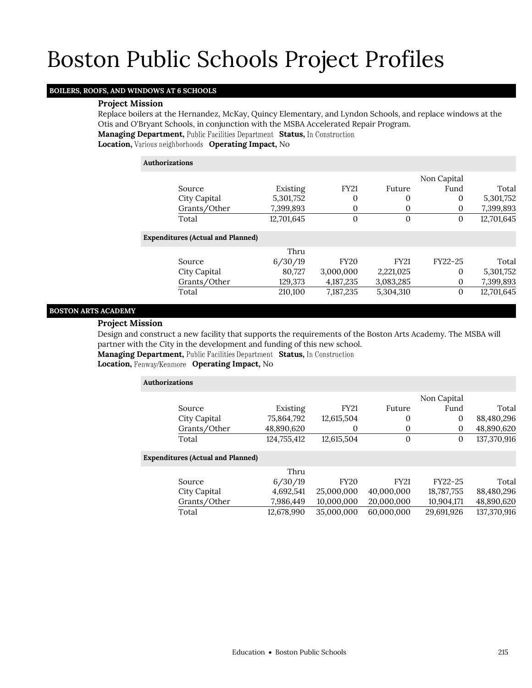### **BOILERS, ROOFS, AND WINDOWS AT 6 SCHOOLS**

### **Project Mission**

Replace boilers at the Hernandez, McKay, Quincy Elementary, and Lyndon Schools, and replace windows at the Otis and O'Bryant Schools, in conjunction with the MSBA Accelerated Repair Program.

**Managing Department, Public Facilities Department Status, In Construction** 

**Location, Various neighborhoods Operating Impact, No** 

| <b>Authorizations</b>                    |            |                |              |             |            |
|------------------------------------------|------------|----------------|--------------|-------------|------------|
|                                          |            |                |              | Non Capital |            |
| Source                                   | Existing   | <b>FY21</b>    | Future       | Fund        | Total      |
| City Capital                             | 5,301,752  | 0              | 0            | 0           | 5,301,752  |
| Grants/Other                             | 7,399,893  | 0              | $\mathbf{0}$ | 0           | 7,399,893  |
| Total                                    | 12,701,645 | $\overline{0}$ | $\Omega$     | 0           | 12,701,645 |
| <b>Expenditures (Actual and Planned)</b> |            |                |              |             |            |
|                                          | Thru       |                |              |             |            |
| Source                                   | 6/30/19    | <b>FY20</b>    | <b>FY21</b>  | $FY22-25$   | Total      |
| City Capital                             | 80,727     | 3,000,000      | 2,221,025    | $\Omega$    | 5,301,752  |
| Grants/Other                             | 129,373    | 4,187,235      | 3,083,285    | 0           | 7,399,893  |
| Total                                    | 210,100    | 7,187,235      | 5,304,310    | $\theta$    | 12,701,645 |

### **BOSTON ARTS ACADEMY**

### **Project Mission**

Design and construct a new facility that supports the requirements of the Boston Arts Academy. The MSBA will partner with the City in the development and funding of this new school.

**Managing Department, Public Facilities Department Status, In Construction** 

Location, Fenway/Kenmore Operating Impact, No

| <b>Authorizations</b>                    |             |             |                  |              |             |  |  |
|------------------------------------------|-------------|-------------|------------------|--------------|-------------|--|--|
|                                          |             |             |                  | Non Capital  |             |  |  |
| Source                                   | Existing    | <b>FY21</b> | Future           | Fund         | Total       |  |  |
| City Capital                             | 75,864,792  | 12,615,504  | $\boldsymbol{0}$ | $\Omega$     | 88,480,296  |  |  |
| Grants/Other                             | 48,890,620  | 0           | 0                | $\mathbf{0}$ | 48,890,620  |  |  |
| Total                                    | 124,755,412 | 12,615,504  | $\boldsymbol{0}$ | 0            | 137,370,916 |  |  |
| <b>Expenditures (Actual and Planned)</b> |             |             |                  |              |             |  |  |
|                                          | Thru        |             |                  |              |             |  |  |
| Source                                   | 6/30/19     | <b>FY20</b> | <b>FY21</b>      | FY22-25      | Total       |  |  |
| City Capital                             | 4,692,541   | 25,000,000  | 40,000,000       | 18,787,755   | 88,480,296  |  |  |
| Grants/Other                             | 7,986,449   | 10,000,000  | 20,000,000       | 10,904,171   | 48,890,620  |  |  |
| Total                                    | 12,678,990  | 35,000,000  | 60.000.000       | 29.691.926   | 137.370.916 |  |  |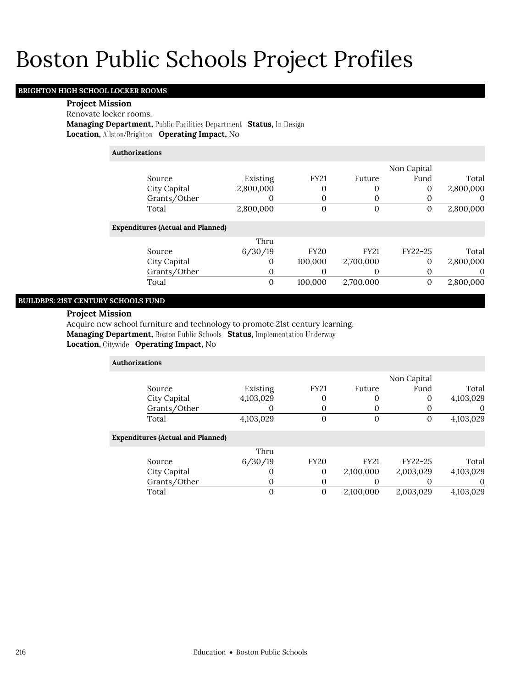### **BRIGHTON HIGH SCHOOL LOCKER ROOMS**

#### **Project Mission**

Renovate locker rooms.

**Managing Department, Public Facilities Department Status, In Design Location, Operating Impact,** No

**Authorizations**

| Existing  | <b>FY21</b> | Future | Fund | Total       |
|-----------|-------------|--------|------|-------------|
| 2,800,000 |             |        |      | 2,800,000   |
|           |             |        |      |             |
| 2,800,000 |             |        |      | 2,800,000   |
|           |             |        |      | Non Capital |

### **Expenditures (Actual and Planned)**

|              | Thru    |             |             |         |           |
|--------------|---------|-------------|-------------|---------|-----------|
| Source       | 6/30/19 | <b>FY20</b> | <b>FY21</b> | FY22-25 | Total     |
| City Capital |         | 100,000     | 2,700,000   |         | 2,800,000 |
| Grants/Other |         |             |             |         |           |
| Total        | 0       | 100.000     | 2,700,000   |         | 2,800,000 |

### **BUILDBPS: 21ST CENTURY SCHOOLS FUND**

#### **Project Mission**

Acquire new school furniture and technology to promote 21st century learning. **Managing Department, Boston Public Schools Status, Implementation Underway Location, Operating Impact,** No

> **Authorizations** Source Existing FY21 Future Non Capital Fund Total City Capital 4,103,029 0 0 0 4,103,029 Grants/Other 0 0 0 0 0 0 Total 4,103,029 0 0 0 4,103,029 **Expenditures (Actual and Planned)** Source Thru 6/30/19 FY20 FY21 FY22-25 Total City Capital 0 0 2,100,000 2,003,029 4,103,029 Grants/Other 0 0 0 0 0 0 Total 0 0 2,100,000 2,003,029 4,103,029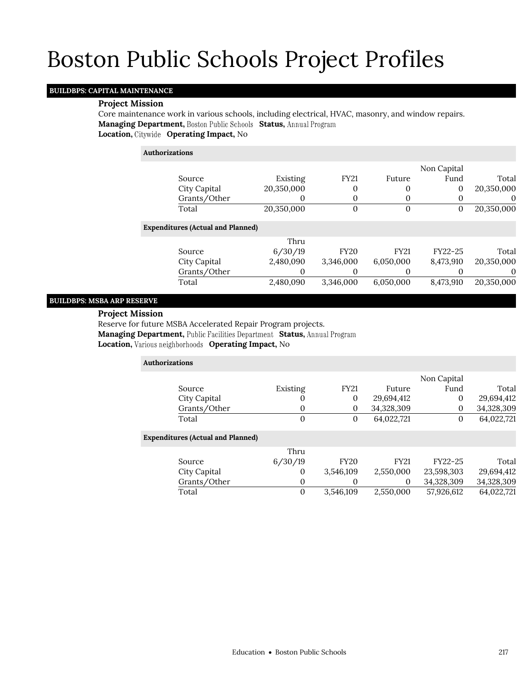### **BUILDBPS: CAPITAL MAINTENANCE**

#### **Project Mission**

Core maintenance work in various schools, including electrical, HVAC, masonry, and window repairs. **Managing Department, Boston Public Schools Status, Annual Program Location, Operating Impact,** No

| <b>Authorizations</b> |  |  |
|-----------------------|--|--|
|                       |  |  |

|              |            |             |        | Non Capital |            |
|--------------|------------|-------------|--------|-------------|------------|
| Source       | Existing   | <b>FY21</b> | Future | Fund        | Total      |
| City Capital | 20,350,000 |             |        |             | 20,350,000 |
| Grants/Other |            |             |        |             |            |
| Total        | 20,350,000 |             |        |             | 20,350,000 |

#### **Expenditures (Actual and Planned)**

| Total      |
|------------|
| 20.350.000 |
|            |
| 20.350.000 |
|            |

### **BUILDBPS: MSBA ARP RESERVE**

#### **Project Mission**

Reserve for future MSBA Accelerated Repair Program projects.

**Managing Department, Public Facilities Department Status, Annual Program** 

**Location, Various neighborhoods Operating Impact, No** 

| <b>Authorizations</b> |                                          |                |                  |             |             |            |
|-----------------------|------------------------------------------|----------------|------------------|-------------|-------------|------------|
|                       |                                          |                |                  |             | Non Capital |            |
|                       | Source                                   | Existing       | <b>FY21</b>      | Future      | Fund        | Total      |
|                       | City Capital                             | $\Omega$       | $\theta$         | 29,694,412  | 0           | 29,694,412 |
|                       | Grants/Other                             | 0              | 0                | 34,328,309  | $\Omega$    | 34,328,309 |
|                       | Total                                    | $\overline{0}$ | $\boldsymbol{0}$ | 64,022,721  | $\Omega$    | 64,022,721 |
|                       | <b>Expenditures (Actual and Planned)</b> |                |                  |             |             |            |
|                       |                                          | Thru           |                  |             |             |            |
|                       | Source                                   | 6/30/19        | <b>FY20</b>      | <b>FY21</b> | FY22-25     | Total      |
|                       | City Capital                             | $\Omega$       | 3,546,109        | 2,550,000   | 23,598,303  | 29,694,412 |
|                       | Grants/Other                             | 0              | 0                | 0           | 34,328,309  | 34,328,309 |
|                       | Total                                    | $\overline{0}$ | 3,546,109        | 2,550,000   | 57,926,612  | 64,022,721 |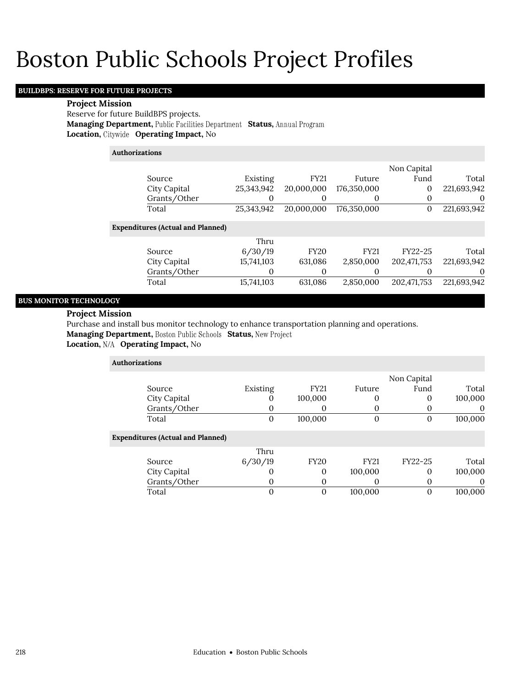### **BUILDBPS: RESERVE FOR FUTURE PROJECTS**

### **Project Mission**

Reserve for future BuildBPS projects. **Managing Department, Public Facilities Department Status, Annual Program Location, Operating Impact,** No

| <b>Authorizations</b>                    |            |             |             |              |             |
|------------------------------------------|------------|-------------|-------------|--------------|-------------|
|                                          |            |             |             | Non Capital  |             |
| Source                                   | Existing   | <b>FY21</b> | Future      | Fund         | Total       |
| City Capital                             | 25,343,942 | 20,000,000  | 176,350,000 | $\mathbf{0}$ | 221,693,942 |
| Grants/Other                             |            | 0           | O           | 0            | 0           |
| Total                                    | 25,343,942 | 20,000,000  | 176,350,000 | 0            | 221,693,942 |
| <b>Expenditures (Actual and Planned)</b> |            |             |             |              |             |
|                                          | Thru       |             |             |              |             |
| Source                                   | 6/30/19    | <b>FY20</b> | <b>FY21</b> | FY22-25      | Total       |
| City Capital                             | 15,741,103 | 631,086     | 2,850,000   | 202,471,753  | 221,693,942 |
| Grants/Other                             | 0          | 0           | $\Omega$    | $_{0}$       | $\theta$    |
| Total                                    | 15,741,103 | 631,086     | 2.850.000   | 202.471.753  | 221.693.942 |

### **BUS MONITOR TECHNOLOGY**

### **Project Mission**

Purchase and install bus monitor technology to enhance transportation planning and operations.

**Managing Department, Boston Public Schools Status, New Project** 

**Location, Operating Impact,** No

| Authorizations                           |             |                |             |             |          |
|------------------------------------------|-------------|----------------|-------------|-------------|----------|
|                                          |             |                |             | Non Capital |          |
| Source                                   | Existing    | <b>FY21</b>    | Future      | Fund        | Total    |
| City Capital                             | 0           | 100,000        |             | 0           | 100,000  |
| Grants/Other                             |             |                |             |             | $\theta$ |
| Total                                    | $\mathbf 0$ | 100,000        |             | 0           | 100,000  |
| <b>Expenditures (Actual and Planned)</b> |             |                |             |             |          |
|                                          | Thru        |                |             |             |          |
| Source                                   | 6/30/19     | <b>FY20</b>    | <b>FY21</b> | FY22-25     | Total    |
| City Capital                             |             | 0              | 100,000     | 0           | 100,000  |
| Grants/Other                             | $\theta$    | 0              |             | $_{0}$      | $\theta$ |
| Total                                    |             | $\overline{0}$ | 100,000     |             | 100.000  |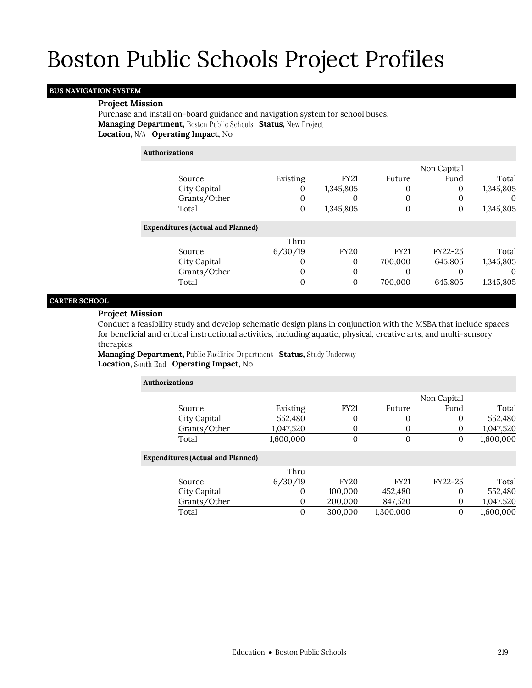### **BUS NAVIGATION SYSTEM**

### **Project Mission**

**Authorizations**

Purchase and install on-board guidance and navigation system for school buses. **Managing Department, Boston Public Schools Status, New Project** Location,  $N/A$  Operating Impact, No

|                                          |          |             |                  | Non Capital |           |
|------------------------------------------|----------|-------------|------------------|-------------|-----------|
| Source                                   | Existing | <b>FY21</b> | Future           | Fund        | Total     |
| City Capital                             | O        | 1,345,805   | 0                | 0           | 1,345,805 |
| Grants/Other                             | 0        | $\theta$    |                  |             | $\Omega$  |
| Total                                    | 0        | 1,345,805   | $\boldsymbol{0}$ | 0           | 1,345,805 |
| <b>Expenditures (Actual and Planned)</b> |          |             |                  |             |           |
|                                          | Thru     |             |                  |             |           |
| Source                                   | 6/30/19  | <b>FY20</b> | <b>FY21</b>      | FY22-25     | Total     |
| City Capital                             | 0        | 0           | 700,000          | 645,805     | 1,345,805 |
| Grants/Other                             | 0        | 0           | $\left( \right)$ |             | $\Omega$  |
| Total                                    | 0        | 0           | 700,000          | 645.805     | 1,345,805 |
|                                          |          |             |                  |             |           |

### **CARTER SCHOOL**

### **Project Mission**

Conduct a feasibility study and develop schematic design plans in conjunction with the MSBA that include spaces for beneficial and critical instructional activities, including aquatic, physical, creative arts, and multi-sensory therapies.

**Managing Department, Public Facilities Department Status, Study Underway Location, South End Operating Impact, No** 

| <b>Authorizations</b>                    |           |             |             |             |           |
|------------------------------------------|-----------|-------------|-------------|-------------|-----------|
|                                          |           |             |             | Non Capital |           |
| Source                                   | Existing  | <b>FY21</b> | Future      | Fund        | Total     |
| City Capital                             | 552,480   | $\Omega$    | 0           | 0           | 552,480   |
| Grants/Other                             | 1,047,520 | $_{0}$      | 0           | 0           | 1,047,520 |
| Total                                    | 1,600,000 | $\Omega$    | $\theta$    | 0           | 1,600,000 |
| <b>Expenditures (Actual and Planned)</b> |           |             |             |             |           |
|                                          | Thru      |             |             |             |           |
| Source                                   | 6/30/19   | <b>FY20</b> | <b>FY21</b> | FY22-25     | Total     |
| City Capital                             | $\Omega$  | 100,000     | 452,480     | $\Omega$    | 552,480   |
| Grants/Other                             | $\Omega$  | 200,000     | 847,520     | $\Omega$    | 1,047,520 |
| Total                                    | 0         | 300,000     | 1,300,000   | 0           | 1,600,000 |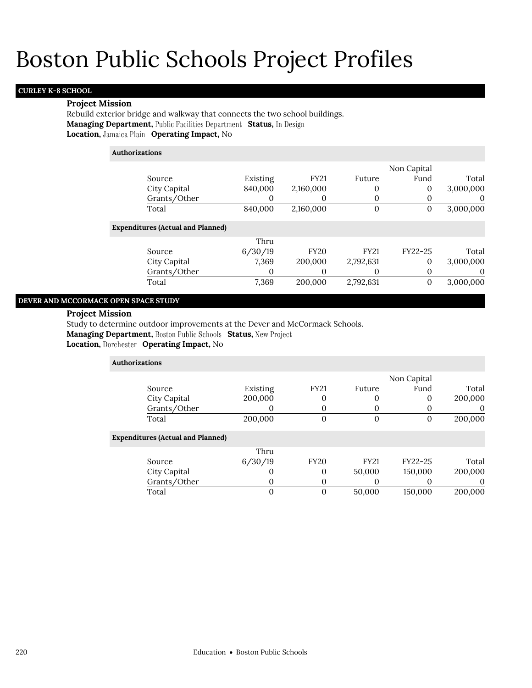### **CURLEY K-8 SCHOOL**

### **Project Mission**

Rebuild exterior bridge and walkway that connects the two school buildings. **Managing Department, Public Facilities Department Status, In Design Location, Jamaica Plain Operating Impact, No** 

| <b>Authorizations</b>                    |          |             |             |             |           |
|------------------------------------------|----------|-------------|-------------|-------------|-----------|
|                                          |          |             |             | Non Capital |           |
| Source                                   | Existing | <b>FY21</b> | Future      | Fund        | Total     |
| City Capital                             | 840,000  | 2,160,000   | 0           | 0           | 3,000,000 |
| Grants/Other                             |          | 0           | 0           |             |           |
| Total                                    | 840,000  | 2,160,000   | $\theta$    | $\Omega$    | 3,000,000 |
| <b>Expenditures (Actual and Planned)</b> |          |             |             |             |           |
|                                          | Thru     |             |             |             |           |
| Source                                   | 6/30/19  | <b>FY20</b> | <b>FY21</b> | FY22-25     | Total     |
| City Capital                             | 7,369    | 200,000     | 2,792,631   | $\Omega$    | 3,000,000 |
| Grants/Other                             |          | 0           | 0           | $\theta$    |           |
| Total                                    | 7,369    | 200,000     | 2,792,631   | $\theta$    | 3,000,000 |

### **DEVER AND MCCORMACK OPEN SPACE STUDY**

#### **Project Mission**

Study to determine outdoor improvements at the Dever and McCormack Schools.

**Managing Department, Boston Public Schools Status, New Project** 

**Location, Operating Impact,** No

| <b>Authorizations</b>                    |          |                |             |             |          |
|------------------------------------------|----------|----------------|-------------|-------------|----------|
|                                          |          |                |             | Non Capital |          |
| Source                                   | Existing | <b>FY21</b>    | Future      | Fund        | Total    |
| City Capital                             | 200,000  | 0              | O           | $\Omega$    | 200,000  |
| Grants/Other                             |          | 0              | O           |             | 0        |
| Total                                    | 200,000  | $\overline{0}$ | 0           | 0           | 200,000  |
| <b>Expenditures (Actual and Planned)</b> |          |                |             |             |          |
|                                          | Thru     |                |             |             |          |
| Source                                   | 6/30/19  | <b>FY20</b>    | <b>FY21</b> | FY22-25     | Total    |
| City Capital                             |          | 0              | 50,000      | 150,000     | 200,000  |
| Grants/Other                             | $\theta$ | 0              | O           | $_{0}$      | $\theta$ |
| Total                                    |          | $\overline{0}$ | 50,000      | 150,000     | 200,000  |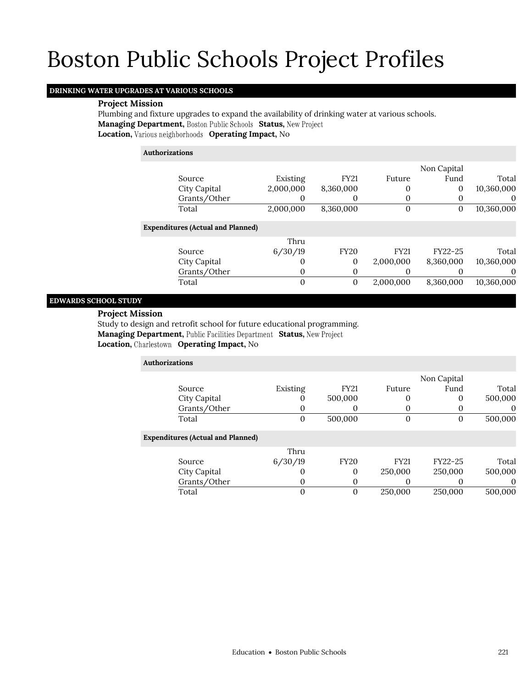### **DRINKING WATER UPGRADES AT VARIOUS SCHOOLS**

### **Project Mission**

Plumbing and fixture upgrades to expand the availability of drinking water at various schools. **Managing Department, Boston Public Schools Status, New Project Location, Various neighborhoods Operating Impact, No** 

### **Authorizations**

|                                          |           |                |              | Non Capital |            |
|------------------------------------------|-----------|----------------|--------------|-------------|------------|
| Source                                   | Existing  | <b>FY21</b>    | Future       | Fund        | Total      |
| City Capital                             | 2,000,000 | 8,360,000      | 0            | 0           | 10,360,000 |
| Grants/Other                             |           | 0              |              |             | $\theta$   |
| Total                                    | 2,000,000 | 8,360,000      | $\mathbf{0}$ | 0           | 10,360,000 |
| <b>Expenditures (Actual and Planned)</b> |           |                |              |             |            |
|                                          | Thru      |                |              |             |            |
| Source                                   | 6/30/19   | <b>FY20</b>    | <b>FY21</b>  | FY22-25     | Total      |
| City Capital                             |           | $\overline{0}$ | 2,000,000    | 8,360,000   | 10,360,000 |
| Grants/Other                             | 0         | 0              |              |             | $\theta$   |
| Total                                    | 0         | $\overline{0}$ | 2,000,000    | 8,360,000   | 10,360,000 |
|                                          |           |                |              |             |            |

### **EDWARDS SCHOOL STUDY**

#### **Project Mission**

Study to design and retrofit school for future educational programming. **Managing Department, Public Facilities Department Status, New Project Location, Operating Impact,** No

| <b>Authorizations</b>                    |          |                |             |                |          |
|------------------------------------------|----------|----------------|-------------|----------------|----------|
|                                          |          |                |             | Non Capital    |          |
| Source                                   | Existing | <b>FY21</b>    | Future      | Fund           | Total    |
| City Capital                             | U        | 500,000        |             | $\overline{0}$ | 500,000  |
| Grants/Other                             | O        | 0              |             |                | $\theta$ |
| Total                                    | $\Omega$ | 500,000        | $\Omega$    | $\Omega$       | 500,000  |
| <b>Expenditures (Actual and Planned)</b> |          |                |             |                |          |
|                                          | Thru     |                |             |                |          |
| Source                                   | 6/30/19  | <b>FY20</b>    | <b>FY21</b> | FY22-25        | Total    |
| City Capital                             | $\cup$   | $\Omega$       | 250,000     | 250,000        | 500,000  |
| Grants/Other                             | $\theta$ | $\Omega$       |             |                | $\Omega$ |
| Total                                    | 0        | $\overline{0}$ | 250,000     | 250,000        | 500,000  |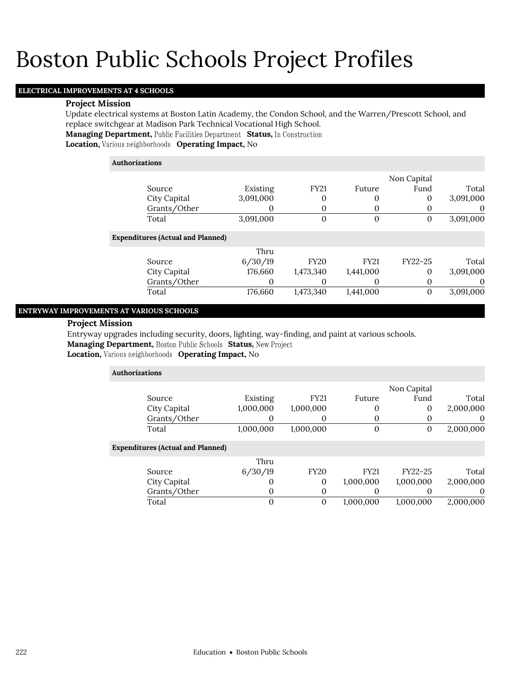### **ELECTRICAL IMPROVEMENTS AT 4 SCHOOLS**

### **Project Mission**

Update electrical systems at Boston Latin Academy, the Condon School, and the Warren/Prescott School, and replace switchgear at Madison Park Technical Vocational High School. **Managing Department, Public Facilities Department Status, In Construction Location, Various neighborhoods Operating Impact, No** 

### **Authorizations**

|             | Non Capital |              |             |           |                                          |
|-------------|-------------|--------------|-------------|-----------|------------------------------------------|
| Total       | Fund        | Future       | <b>FY21</b> | Existing  | Source                                   |
| 3,091,000   | 0           | 0            | 0           | 3,091,000 | City Capital                             |
| $\mathbf 0$ | $_{0}$      | $\Omega$     | 0           | 0         | Grants/Other                             |
| 3,091,000   | 0           | $\mathbf{0}$ | $\theta$    | 3,091,000 | Total                                    |
|             |             |              |             |           | <b>Expenditures (Actual and Planned)</b> |
|             |             |              |             | Thru      |                                          |
| Total       | FY22-25     | <b>FY21</b>  | <b>FY20</b> | 6/30/19   | Source                                   |
| 3,091,000   | $\Omega$    | 1,441,000    | 1,473,340   | 176,660   | City Capital                             |
| 0           | 0           | 0            | 0           |           | Grants/Other                             |
| 3,091,000   | 0           | 1,441,000    | 1,473,340   | 176,660   | Total                                    |

### **ENTRYWAY IMPROVEMENTS AT VARIOUS SCHOOLS**

### **Project Mission**

Entryway upgrades including security, doors, lighting, way-finding, and paint at various schools. **Managing Department, Boston Public Schools Status, New Project** 

### **Location, Various neighborhoods Operating Impact, No**

| <b>Authorizations</b>                    |           |             |             |              |           |
|------------------------------------------|-----------|-------------|-------------|--------------|-----------|
|                                          |           |             |             | Non Capital  |           |
| Source                                   | Existing  | <b>FY21</b> | Future      | Fund         | Total     |
| City Capital                             | 1,000,000 | 1,000,000   | 0           | $\mathbf{0}$ | 2,000,000 |
| Grants/Other                             |           | 0           | $\Omega$    |              | $\theta$  |
| Total                                    | 1,000,000 | 1,000,000   | $\theta$    | $\mathbf{0}$ | 2,000,000 |
| <b>Expenditures (Actual and Planned)</b> |           |             |             |              |           |
|                                          | Thru      |             |             |              |           |
| Source                                   | 6/30/19   | <b>FY20</b> | <b>FY21</b> | FY22-25      | Total     |
| City Capital                             | 0         | 0           | 1,000,000   | 1,000,000    | 2,000,000 |
| Grants/Other                             | 0         | 0           | 0           |              | 0         |
| Total                                    | $\Omega$  | $\theta$    | 1.000.000   | 1.000.000    | 2,000,000 |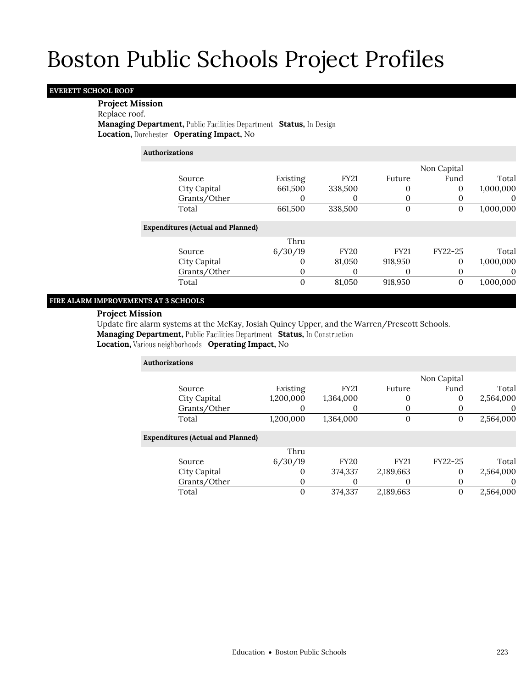### **EVERETT SCHOOL ROOF**

### **Project Mission**

Replace roof.

**Managing Department, Public Facilities Department Status, In Design Location, Operating Impact,** No

### **Authorizations**

|                                          |                   |             |             | Non Capital |           |
|------------------------------------------|-------------------|-------------|-------------|-------------|-----------|
| Source                                   | Existing          | <b>FY21</b> | Future      | Fund        | Total     |
| City Capital                             | 661,500           | 338,500     | 0           | 0           | 1,000,000 |
| Grants/Other                             |                   | 0           | 0           |             |           |
| Total                                    | 661,500           | 338,500     | 0           | 0           | 1,000,000 |
| <b>Expenditures (Actual and Planned)</b> |                   |             |             |             |           |
|                                          | Thru              |             |             |             |           |
| Source                                   | 6/30/19           | <b>FY20</b> | <b>FY21</b> | FY22-25     | Total     |
| City Capital                             | $\mathbf{\Omega}$ | 81,050      | 918,950     | $\Omega$    | 1,000,000 |
| Grants/Other                             | 0                 | 0           | $\Omega$    |             |           |
| Total                                    | 0                 | 81,050      | 918,950     | 0           | 1,000,000 |

### **FIRE ALARM IMPROVEMENTS AT 3 SCHOOLS**

### **Project Mission**

Update fire alarm systems at the McKay, Josiah Quincy Upper, and the Warren/Prescott Schools. **Managing Department, Public Facilities Department Status, In Construction** 

**Location, Various neighborhoods Operating Impact, No** 

| <b>Authorizations</b>                    |           |             |             |             |           |
|------------------------------------------|-----------|-------------|-------------|-------------|-----------|
|                                          |           |             |             | Non Capital |           |
| Source                                   | Existing  | <b>FY21</b> | Future      | Fund        | Total     |
| City Capital                             | 1,200,000 | 1,364,000   | $\Omega$    | 0           | 2,564,000 |
| Grants/Other                             | 0         | 0           |             |             | 0         |
| Total                                    | 1,200,000 | 1,364,000   | $\Omega$    | 0           | 2,564,000 |
| <b>Expenditures (Actual and Planned)</b> |           |             |             |             |           |
|                                          | Thru      |             |             |             |           |
| Source                                   | 6/30/19   | <b>FY20</b> | <b>FY21</b> | FY22-25     | Total     |
| City Capital                             | 0         | 374,337     | 2,189,663   | $\Omega$    | 2,564,000 |
| Grants/Other                             | 0         | 0           |             |             | $\theta$  |
| Total                                    | 0         | 374,337     | 2,189,663   | 0           | 2,564,000 |
|                                          |           |             |             |             |           |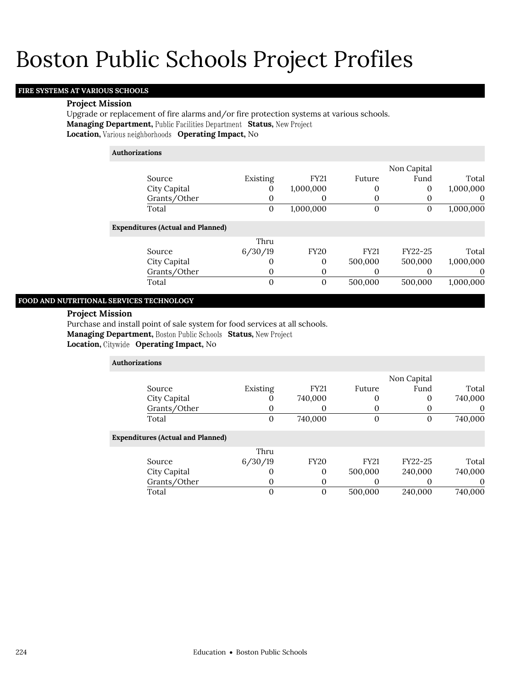### **FIRE SYSTEMS AT VARIOUS SCHOOLS**

#### **Project Mission**

Upgrade or replacement of fire alarms and/or fire protection systems at various schools. **Managing Department, Status, Location, Various neighborhoods Operating Impact, No** 

### **Authorizations**

|              |          |             |        | Non Capital |           |
|--------------|----------|-------------|--------|-------------|-----------|
| Source       | Existing | <b>FY21</b> | Future | Fund        | Total     |
| City Capital |          | 1,000,000   |        |             | 1,000,000 |
| Grants/Other |          |             |        |             |           |
| Total        |          | 1,000,000   |        |             | 1,000,000 |

### **Expenditures (Actual and Planned)**

|              | Thru    |      |             |         |           |
|--------------|---------|------|-------------|---------|-----------|
| Source       | 6/30/19 | FY20 | <b>FY21</b> | FY22-25 | Total     |
| City Capital |         |      | 500,000     | 500,000 | 1,000,000 |
| Grants/Other |         |      |             |         |           |
| Total        |         |      | 500.000     | 500.000 | 1,000,000 |

### **FOOD AND NUTRITIONAL SERVICES TECHNOLOGY**

### **Project Mission**

Purchase and install point of sale system for food services at all schools.

**Managing Department, Boston Public Schools Status, New Project** 

**Location, Operating Impact,** No

| <b>Authorizations</b>                    |              |              |             |             |         |
|------------------------------------------|--------------|--------------|-------------|-------------|---------|
|                                          |              |              |             | Non Capital |         |
| Source                                   | Existing     | <b>FY21</b>  | Future      | Fund        | Total   |
| City Capital                             | O            | 740,000      | $_{0}$      | 0           | 740,000 |
| Grants/Other                             | U            | 0            | O           |             | 0       |
| Total                                    | $\mathbf{0}$ | 740,000      | 0           | 0           | 740,000 |
| <b>Expenditures (Actual and Planned)</b> |              |              |             |             |         |
|                                          | Thru         |              |             |             |         |
| Source                                   | 6/30/19      | <b>FY20</b>  | <b>FY21</b> | FY22-25     | Total   |
| City Capital                             | O            | 0            | 500,000     | 240,000     | 740,000 |
| Grants/Other                             | O            | 0            | O           | 0           | 0       |
| Total                                    |              | $\mathbf{0}$ | 500,000     | 240,000     | 740.000 |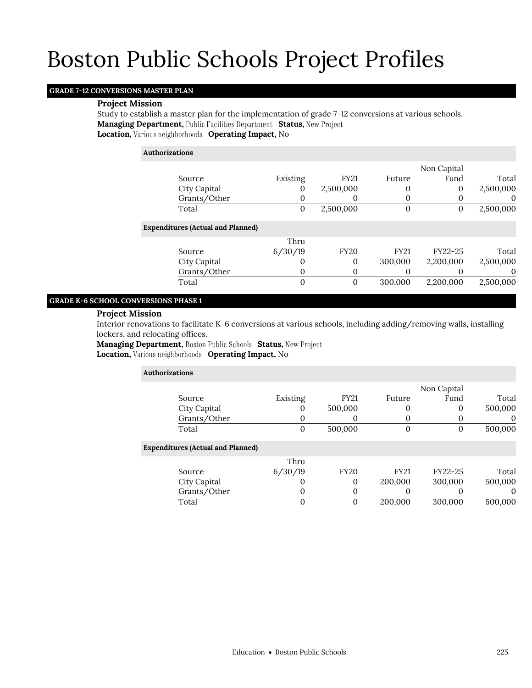### **GRADE 7-12 CONVERSIONS MASTER PLAN**

### **Project Mission**

Study to establish a master plan for the implementation of grade 7-12 conversions at various schools. Managing Department, Public Facilities Department Status, New Project **Location, Various neighborhoods Operating Impact, No** 

### **Authorizations**

|                                          |          |             |                  | Non Capital |           |
|------------------------------------------|----------|-------------|------------------|-------------|-----------|
| Source                                   | Existing | <b>FY21</b> | Future           | Fund        | Total     |
| City Capital                             |          | 2,500,000   | 0                | 0           | 2,500,000 |
| Grants/Other                             |          | 0           | 0                |             | $\theta$  |
| Total                                    | 0        | 2,500,000   | $\boldsymbol{0}$ | $\Omega$    | 2,500,000 |
| <b>Expenditures (Actual and Planned)</b> |          |             |                  |             |           |
|                                          | Thru     |             |                  |             |           |
| Source                                   | 6/30/19  | <b>FY20</b> | <b>FY21</b>      | FY22-25     | Total     |
| City Capital                             |          | 0           | 300,000          | 2,200,000   | 2,500,000 |
| Grants/Other                             | $\theta$ | 0           | $\theta$         |             | $\theta$  |
| Total                                    |          | 0           | 300,000          | 2.200.000   | 2,500,000 |

### **GRADE K-6 SCHOOL CONVERSIONS PHASE 1**

### **Project Mission**

Interior renovations to facilitate K-6 conversions at various schools, including adding/removing walls, installing lockers, and relocating offices.

**Managing Department, Boston Public Schools Status, New Project Location, Various neighborhoods Operating Impact, No** 

| <b>Authorizations</b>                    |                   |             |                  |             |         |
|------------------------------------------|-------------------|-------------|------------------|-------------|---------|
|                                          |                   |             |                  | Non Capital |         |
| Source                                   | Existing          | <b>FY21</b> | Future           | Fund        | Total   |
| City Capital                             | 0                 | 500,000     | 0                |             | 500,000 |
| Grants/Other                             |                   | O           | 0                |             | O       |
| Total                                    | 0                 | 500,000     | $\boldsymbol{0}$ | 0           | 500,000 |
| <b>Expenditures (Actual and Planned)</b> |                   |             |                  |             |         |
|                                          | Thru              |             |                  |             |         |
| Source                                   | 6/30/19           | <b>FY20</b> | <b>FY21</b>      | FY22-25     | Total   |
| City Capital                             | $\mathbf{\Omega}$ | 0           | 200,000          | 300,000     | 500,000 |
| Grants/Other                             | 0                 | $_{0}$      | O                |             | O       |
| Total                                    | 0                 | 0           | 200,000          | 300,000     | 500,000 |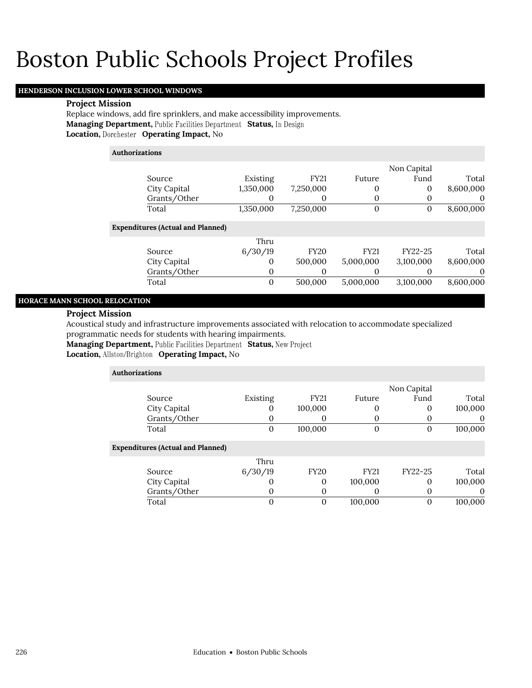### **HENDERSON INCLUSION LOWER SCHOOL WINDOWS**

### **Project Mission**

Replace windows, add fire sprinklers, and make accessibility improvements. **Managing Department, Public Facilities Department Status, In Design Location, Operating Impact,** No

| <b>Authorizations</b>                    |           |             |                |             |           |
|------------------------------------------|-----------|-------------|----------------|-------------|-----------|
|                                          |           |             |                | Non Capital |           |
| Source                                   | Existing  | <b>FY21</b> | Future         | Fund        | Total     |
| City Capital                             | 1,350,000 | 7,250,000   | 0              | 0           | 8,600,000 |
| Grants/Other                             |           | O           | 0              | 0           | 0         |
| Total                                    | 1,350,000 | 7,250,000   | $\overline{0}$ | 0           | 8,600,000 |
| <b>Expenditures (Actual and Planned)</b> |           |             |                |             |           |
|                                          | Thru      |             |                |             |           |
| Source                                   | 6/30/19   | <b>FY20</b> | <b>FY21</b>    | FY22-25     | Total     |
| City Capital                             | $\Omega$  | 500,000     | 5,000,000      | 3,100,000   | 8,600,000 |
| Grants/Other                             | $\Omega$  | 0           |                | $\Omega$    | $\theta$  |
| Total                                    |           | 500,000     | 5,000,000      | 3,100,000   | 8,600,000 |

### **HORACE MANN SCHOOL RELOCATION**

#### **Project Mission**

Acoustical study and infrastructure improvements associated with relocation to accommodate specialized programmatic needs for students with hearing impairments.

**Managing Department, Public Facilities Department Status, New Project** 

**Location, Allston/Brighton Operating Impact, No** 

| <b>Authorizations</b>                    |              |              |             |             |          |
|------------------------------------------|--------------|--------------|-------------|-------------|----------|
|                                          |              |              |             | Non Capital |          |
| Source                                   | Existing     | <b>FY21</b>  | Future      | Fund        | Total    |
| City Capital                             | 0            | 100,000      | $\theta$    | 0           | 100,000  |
| Grants/Other                             | 0            | $\Omega$     | $\Omega$    |             | $\Omega$ |
| Total                                    | $\mathbf{0}$ | 100,000      | $\Omega$    | $\theta$    | 100,000  |
| <b>Expenditures (Actual and Planned)</b> |              |              |             |             |          |
|                                          | Thru         |              |             |             |          |
| Source                                   | 6/30/19      | <b>FY20</b>  | <b>FY21</b> | FY22-25     | Total    |
| City Capital                             | 0            | $\Omega$     | 100,000     | $\Omega$    | 100,000  |
| Grants/Other                             | 0            | $\mathbf{0}$ | O           | 0           | 0        |
| Total                                    | 0            | 0            | 100,000     | $\Omega$    | 100,000  |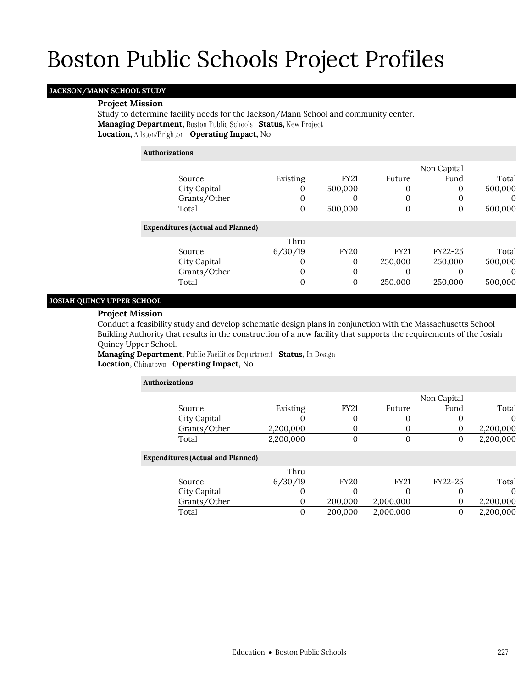### **JACKSON/MANN SCHOOL STUDY**

### **Project Mission**

Study to determine facility needs for the Jackson/Mann School and community center. **Managing Department, Boston Public Schools Status, New Project Location, Allston/Brighton Operating Impact, No** 

### **Authorizations**

|                                          |          |                |             | Non Capital |          |
|------------------------------------------|----------|----------------|-------------|-------------|----------|
| Source                                   | Existing | <b>FY21</b>    | Future      | Fund        | Total    |
| City Capital                             |          | 500,000        | 0           | 0           | 500,000  |
| Grants/Other                             | $\theta$ | 0              |             |             | $\theta$ |
| Total                                    | 0        | 500,000        | 0           |             | 500,000  |
| <b>Expenditures (Actual and Planned)</b> |          |                |             |             |          |
|                                          | Thru     |                |             |             |          |
| Source                                   | 6/30/19  | <b>FY20</b>    | <b>FY21</b> | FY22-25     | Total    |
| City Capital                             |          | 0              | 250,000     | 250,000     | 500,000  |
| Grants/Other                             | $\Omega$ | 0              | O           |             |          |
| Total                                    | 0        | $\overline{0}$ | 250,000     | 250,000     | 500,000  |

### **JOSIAH QUINCY UPPER SCHOOL**

### **Project Mission**

Conduct a feasibility study and develop schematic design plans in conjunction with the Massachusetts School Building Authority that results in the construction of a new facility that supports the requirements of the Josiah Quincy Upper School.

**Managing Department, Public Facilities Department Status, In Design Location, Operating Impact,** No

| Authorizations |                                          |                 |             |             |             |           |  |
|----------------|------------------------------------------|-----------------|-------------|-------------|-------------|-----------|--|
|                |                                          |                 |             |             | Non Capital |           |  |
|                | Source                                   | Existing        | <b>FY21</b> | Future      | Fund        | Total     |  |
|                | City Capital                             |                 | 0           | 0           |             |           |  |
|                | Grants/Other                             | 2,200,000       | O           | 0           | $\Omega$    | 2,200,000 |  |
|                | Total                                    | 2,200,000       | 0           | 0           |             | 2,200,000 |  |
|                | <b>Expenditures (Actual and Planned)</b> |                 |             |             |             |           |  |
|                | Source                                   | Thru<br>6/30/19 | <b>FY20</b> | <b>FY21</b> | FY22-25     | Total     |  |

City Capital 0 0 0 0 0 0 0 Grants/Other 0 200,000 2,000,000 0 2,200,000 Total 0 200,000 2,000,000 0 2,200,000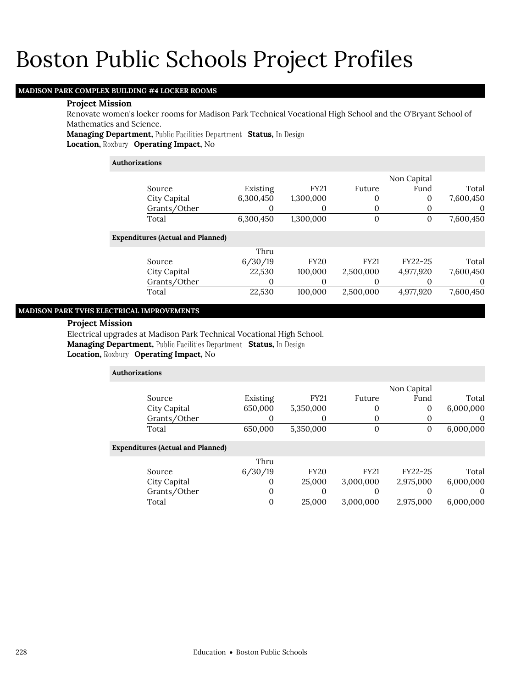### **MADISON PARK COMPLEX BUILDING #4 LOCKER ROOMS**

### **Project Mission**

Renovate women's locker rooms for Madison Park Technical Vocational High School and the O'Bryant School of Mathematics and Science.

**Managing Department, Public Facilities Department Status, In Design Location, Roxbury Operating Impact, No** 

### **Authorizations**

|                                          |           |             |              | Non Capital |           |
|------------------------------------------|-----------|-------------|--------------|-------------|-----------|
| Source                                   | Existing  | <b>FY21</b> | Future       | Fund        | Total     |
| City Capital                             | 6,300,450 | 1,300,000   | 0            | $\Omega$    | 7,600,450 |
| Grants/Other                             | 0         | 0           | 0            | 0           | 0         |
| Total                                    | 6,300,450 | 1,300,000   | $\mathbf{0}$ | 0           | 7,600,450 |
| <b>Expenditures (Actual and Planned)</b> |           |             |              |             |           |
|                                          | Thru      |             |              |             |           |
| Source                                   | 6/30/19   | <b>FY20</b> | <b>FY21</b>  | FY22-25     | Total     |
| City Capital                             | 22,530    | 100,000     | 2,500,000    | 4,977,920   | 7,600,450 |
| Grants/Other                             | O         | 0           | 0            | 0           | 0         |
| Total                                    | 22,530    | 100.000     | 2,500,000    | 4,977,920   | 7,600,450 |
|                                          |           |             |              |             |           |

### **MADISON PARK TVHS ELECTRICAL IMPROVEMENTS**

### **Project Mission**

Electrical upgrades at Madison Park Technical Vocational High School. **Managing Department, Public Facilities Department Status, In Design Location, Roxbury Operating Impact, No** 

| <b>Authorizations</b>                    |          |             |             |             |           |
|------------------------------------------|----------|-------------|-------------|-------------|-----------|
|                                          |          |             |             | Non Capital |           |
| Source                                   | Existing | <b>FY21</b> | Future      | Fund        | Total     |
| City Capital                             | 650,000  | 5,350,000   | 0           | 0           | 6,000,000 |
| Grants/Other                             | 0        | 0           | 0           |             | $\theta$  |
| Total                                    | 650,000  | 5,350,000   | $\Omega$    | 0           | 6,000,000 |
| <b>Expenditures (Actual and Planned)</b> |          |             |             |             |           |
|                                          | Thru     |             |             |             |           |
| Source                                   | 6/30/19  | <b>FY20</b> | <b>FY21</b> | FY22-25     | Total     |
| City Capital                             | O        | 25,000      | 3,000,000   | 2,975,000   | 6,000,000 |
| Grants/Other                             | 0        | 0           | $\Omega$    |             | $\theta$  |
| Total                                    | 0        | 25,000      | 3.000.000   | 2.975.000   | 6.000.000 |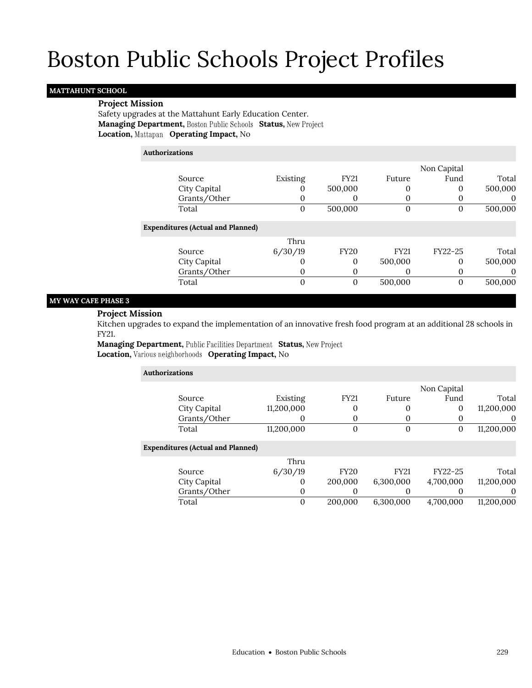### **MATTAHUNT SCHOOL**

### **Project Mission**

Safety upgrades at the Mattahunt Early Education Center. **Managing Department, Boston Public Schools Status, New Project Location, Operating Impact,** No

### **Authorizations**

|                                          |          |             |             | Non Capital |          |
|------------------------------------------|----------|-------------|-------------|-------------|----------|
| Source                                   | Existing | <b>FY21</b> | Future      | Fund        | Total    |
| City Capital                             | U        | 500,000     | 0           | 0           | 500,000  |
| Grants/Other                             | 0        |             |             |             | $\theta$ |
| Total                                    | 0        | 500,000     | 0           | 0           | 500,000  |
| <b>Expenditures (Actual and Planned)</b> |          |             |             |             |          |
|                                          | Thru     |             |             |             |          |
| Source                                   | 6/30/19  | <b>FY20</b> | <b>FY21</b> | $FY22-25$   | Total    |
| City Capital                             | O        | $\Omega$    | 500,000     | 0           | 500,000  |
| Grants/Other                             | 0        |             |             | 0           | $\theta$ |
| Total                                    | 0        | $\Omega$    | 500,000     | 0           | 500,000  |

### **MY WAY CAFE PHASE 3**

### **Project Mission**

Kitchen upgrades to expand the implementation of an innovative fresh food program at an additional 28 schools in FY21.

**Managing Department, Public Facilities Department Status, New Project Location, Various neighborhoods Operating Impact, No** 

| <b>Authorizations</b>                    |             |             |                |              |            |  |  |
|------------------------------------------|-------------|-------------|----------------|--------------|------------|--|--|
|                                          |             |             |                | Non Capital  |            |  |  |
| Source                                   | Existing    | <b>FY21</b> | Future         | Fund         | Total      |  |  |
| City Capital                             | 11,200,000  | 0           | 0              | 0            | 11,200,000 |  |  |
| Grants/Other                             |             | 0           | 0              | $\theta$     | $\theta$   |  |  |
| Total                                    | 11,200,000  | 0           | $\overline{0}$ | $\mathbf{0}$ | 11,200,000 |  |  |
| <b>Expenditures (Actual and Planned)</b> |             |             |                |              |            |  |  |
|                                          | Thru        |             |                |              |            |  |  |
| Source                                   | 6/30/19     | <b>FY20</b> | <b>FY21</b>    | FY22-25      | Total      |  |  |
| City Capital                             | $\Omega$    | 200,000     | 6,300,000      | 4,700,000    | 11,200,000 |  |  |
| Grants/Other                             | $\mathbf 0$ | 0           | $\Omega$       | 0            | $\theta$   |  |  |
| Total                                    | $\Omega$    | 200.000     | 6.300,000      | 4.700.000    | 11.200.000 |  |  |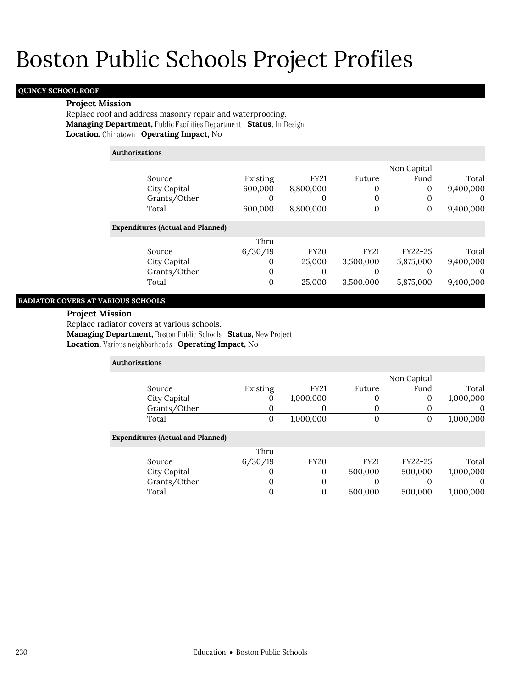### **QUINCY SCHOOL ROOF**

**RADIATOR COVERS A** 

### **Project Mission**

Replace roof and address masonry repair and waterproofing. **Managing Department, Public Facilities Department Status, In Design Location, Operating Impact,** No

|                        | Authorizations                                                        |              |             |              |              |                  |
|------------------------|-----------------------------------------------------------------------|--------------|-------------|--------------|--------------|------------------|
|                        |                                                                       |              |             |              | Non Capital  |                  |
|                        | Source                                                                | Existing     | <b>FY21</b> | Future       | Fund         | Total            |
|                        | City Capital                                                          | 600,000      | 8,800,000   | 0            | $\theta$     | 9,400,000        |
|                        | Grants/Other                                                          | $\mathbf{0}$ | $\Omega$    | 0            | 0            | $\boldsymbol{0}$ |
|                        | Total                                                                 | 600,000      | 8,800,000   | $\mathbf{0}$ | $\mathbf{0}$ | 9,400,000        |
|                        | <b>Expenditures (Actual and Planned)</b>                              |              |             |              |              |                  |
|                        |                                                                       | Thru         |             |              |              |                  |
|                        | Source                                                                | 6/30/19      | <b>FY20</b> | <b>FY21</b>  | FY22-25      | Total            |
|                        | City Capital                                                          | $\mathbf{0}$ | 25,000      | 3,500,000    | 5,875,000    | 9,400,000        |
|                        | Grants/Other                                                          | 0            | $\Omega$    | 0            | $\Omega$     | $\boldsymbol{0}$ |
|                        | Total                                                                 | $\theta$     | 25,000      | 3,500,000    | 5,875,000    | 9,400,000        |
|                        | <b>OVERS AT VARIOUS SCHOOLS</b>                                       |              |             |              |              |                  |
| <b>Project Mission</b> |                                                                       |              |             |              |              |                  |
|                        | Replace radiator covers at various schools.                           |              |             |              |              |                  |
|                        | <b>Managing Department, Boston Public Schools Status, New Project</b> |              |             |              |              |                  |
|                        | Location, Various neighborhoods Operating Impact, No                  |              |             |              |              |                  |
|                        | Authorizations                                                        |              |             |              |              |                  |
|                        |                                                                       |              |             |              | Non Capital  |                  |

| Source                                   | Existing | <b>FY21</b> | Future      | Fund    | Total     |
|------------------------------------------|----------|-------------|-------------|---------|-----------|
| City Capital                             | O        | 1,000,000   |             | 0       | 1,000,000 |
| Grants/Other                             |          | 0           |             |         | $\theta$  |
| Total                                    | 0        | 1,000,000   |             | 0       | 1,000,000 |
| <b>Expenditures (Actual and Planned)</b> |          |             |             |         |           |
|                                          | Thru     |             |             |         |           |
| Source                                   | 6/30/19  | <b>FY20</b> | <b>FY21</b> | FY22-25 | Total     |
| City Capital                             | O        | 0           | 500,000     | 500,000 | 1,000,000 |
| Grants/Other                             |          | $\Omega$    |             |         | $\theta$  |
| Total                                    |          | $\theta$    | 500,000     | 500,000 | 1,000,000 |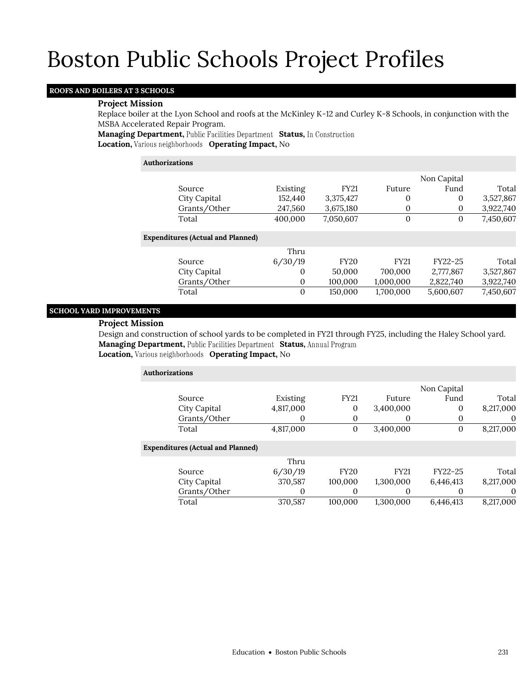### **ROOFS AND BOILERS AT 3 SCHOOLS**

### **Project Mission**

Replace boiler at the Lyon School and roofs at the McKinley K-12 and Curley K-8 Schools, in conjunction with the MSBA Accelerated Repair Program.

**Managing Department, Public Facilities Department Status, In Construction Location, Various neighborhoods Operating Impact, No** 

| Authorizations                           |          |             |              |              |           |  |
|------------------------------------------|----------|-------------|--------------|--------------|-----------|--|
|                                          |          |             |              | Non Capital  |           |  |
| Source                                   | Existing | <b>FY21</b> | Future       | Fund         | Total     |  |
| City Capital                             | 152,440  | 3,375,427   | $\mathbf{0}$ | $\mathbf{0}$ | 3,527,867 |  |
| Grants/Other                             | 247,560  | 3,675,180   | 0            | 0            | 3,922,740 |  |
| Total                                    | 400,000  | 7,050,607   | $\Omega$     | 0            | 7,450,607 |  |
| <b>Expenditures (Actual and Planned)</b> |          |             |              |              |           |  |
|                                          | Thru     |             |              |              |           |  |
| Source                                   | 6/30/19  | <b>FY20</b> | <b>FY21</b>  | FY22-25      | Total     |  |
| City Capital                             | $\Omega$ | 50,000      | 700,000      | 2,777,867    | 3,527,867 |  |
| Grants/Other                             | $\theta$ | 100.000     | 1,000,000    | 2,822,740    | 3,922,740 |  |
| Total                                    | $\Omega$ | 150,000     | 1,700,000    | 5,600,607    | 7,450,607 |  |

### **SCHOOL YARD IMPROVEMENTS**

### **Project Mission**

Design and construction of school yards to be completed in FY21 through FY25, including the Haley School yard. **Managing Department, Public Facilities Department Status, Annual Program Location, Various neighborhoods Operating Impact, No** 

**Authorizations** Source Existing FY21 Future Non Capital Fund Total City Capital 4,817,000 0 3,400,000 0 8,217,000 Grants/Other 0 0 0 0 0 0 Total 4,817,000 0 3,400,000 0 8,217,000 **Expenditures (Actual and Planned)**

|              | Thru    |             |             |           |           |
|--------------|---------|-------------|-------------|-----------|-----------|
| Source       | 6/30/19 | <b>FY20</b> | <b>FY21</b> | FY22-25   | Total     |
| City Capital | 370.587 | 100.000     | 1.300.000   | 6.446.413 | 8.217.000 |
| Grants/Other |         |             |             |           |           |
| Total        | 370.587 | 100.000     | 1.300.000   | 6.446.413 | 8.217.000 |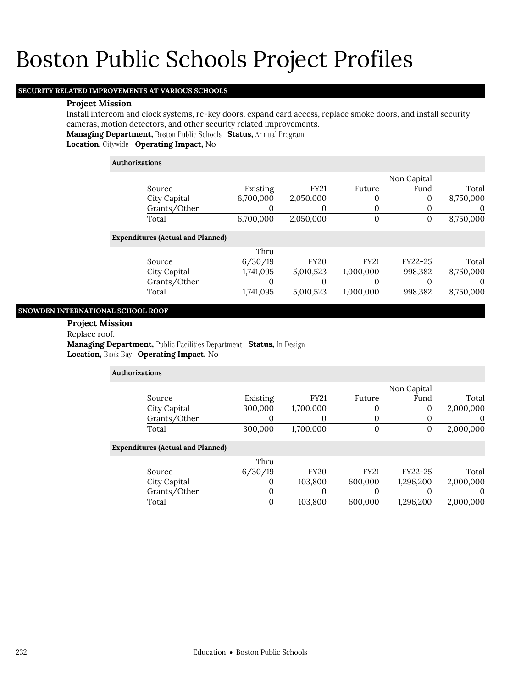### **SECURITY RELATED IMPROVEMENTS AT VARIOUS SCHOOLS**

### **Project Mission**

Install intercom and clock systems, re-key doors, expand card access, replace smoke doors, and install security cameras, motion detectors, and other security related improvements.

**Managing Department, Boston Public Schools Status, Annual Program** 

**Location, Operating Impact,** No

### **Authorizations**

|                                          |                  |             |             | Non Capital  |           |
|------------------------------------------|------------------|-------------|-------------|--------------|-----------|
| Source                                   | Existing         | <b>FY21</b> | Future      | Fund         | Total     |
| City Capital                             | 6,700,000        | 2,050,000   | 0           | $\mathbf{0}$ | 8,750,000 |
| Grants/Other                             | 0                | 0           | 0           | 0            | $\theta$  |
| Total                                    | 6,700,000        | 2,050,000   | $\theta$    | 0            | 8,750,000 |
| <b>Expenditures (Actual and Planned)</b> |                  |             |             |              |           |
|                                          | Thru             |             |             |              |           |
| Source                                   | 6/30/19          | <b>FY20</b> | <b>FY21</b> | FY22-25      | Total     |
| City Capital                             | 1,741,095        | 5,010,523   | 1,000,000   | 998,382      | 8,750,000 |
| Grants/Other                             | $\left( \right)$ | 0           | 0           |              | $\theta$  |
| Total                                    | 1,741,095        | 5,010,523   | 1,000,000   | 998,382      | 8,750,000 |
|                                          |                  |             |             |              |           |

### **SNOWDEN INTERNATIONAL SCHOOL ROOF**

**Project Mission**

Replace roof.

**Managing Department, Public Facilities Department Status, In Design** Location, Back Bay Operating Impact, No

| <b>Authorizations</b>                    |          |             |              |             |           |
|------------------------------------------|----------|-------------|--------------|-------------|-----------|
|                                          |          |             |              | Non Capital |           |
| Source                                   | Existing | <b>FY21</b> | Future       | Fund        | Total     |
| City Capital                             | 300,000  | 1,700,000   | 0            | 0           | 2,000,000 |
| Grants/Other                             | 0        | $\theta$    | $\theta$     | $\Omega$    | $\theta$  |
| Total                                    | 300,000  | 1,700,000   | $\mathbf{0}$ | $\theta$    | 2,000,000 |
| <b>Expenditures (Actual and Planned)</b> |          |             |              |             |           |
|                                          | Thru     |             |              |             |           |
| Source                                   | 6/30/19  | <b>FY20</b> | <b>FY21</b>  | FY22-25     | Total     |
| City Capital                             | 0        | 103,800     | 600,000      | 1,296,200   | 2,000,000 |
| Grants/Other                             | 0        | 0           | 0            | $\Omega$    | $\theta$  |
| Total                                    | 0        | 103,800     | 600.000      | 1.296.200   | 2.000.000 |